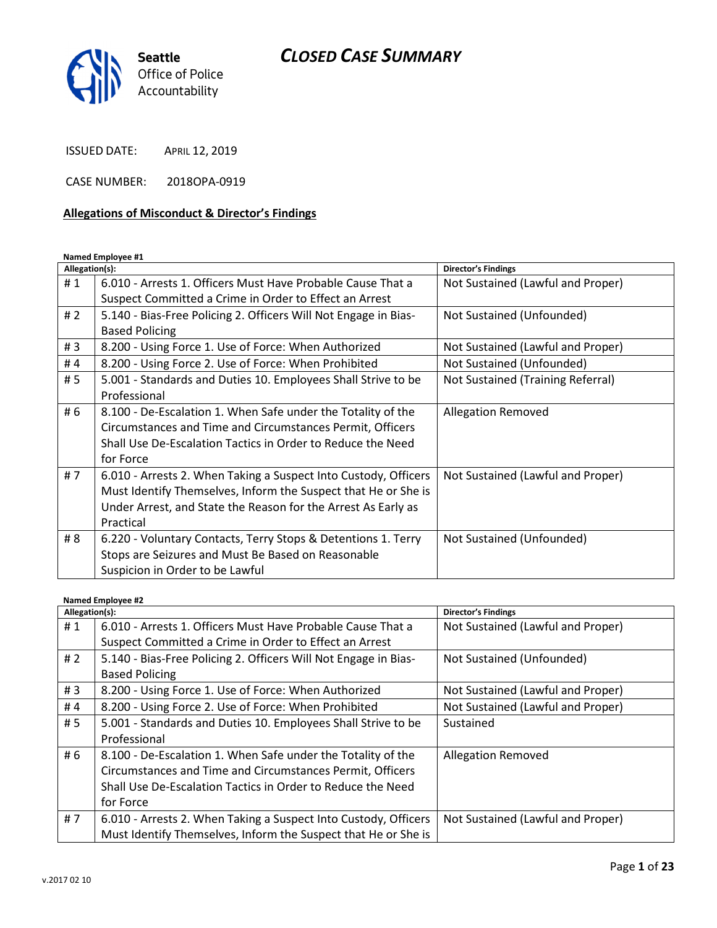

ISSUED DATE: APRIL 12, 2019

CASE NUMBER: 2018OPA-0919

#### Allegations of Misconduct & Director's Findings

Named Employee #1

| Allegation(s): |                                                                 | <b>Director's Findings</b>        |
|----------------|-----------------------------------------------------------------|-----------------------------------|
| #1             | 6.010 - Arrests 1. Officers Must Have Probable Cause That a     | Not Sustained (Lawful and Proper) |
|                | Suspect Committed a Crime in Order to Effect an Arrest          |                                   |
| # 2            | 5.140 - Bias-Free Policing 2. Officers Will Not Engage in Bias- | Not Sustained (Unfounded)         |
|                | <b>Based Policing</b>                                           |                                   |
| #3             | 8.200 - Using Force 1. Use of Force: When Authorized            | Not Sustained (Lawful and Proper) |
| #4             | 8.200 - Using Force 2. Use of Force: When Prohibited            | Not Sustained (Unfounded)         |
| # 5            | 5.001 - Standards and Duties 10. Employees Shall Strive to be   | Not Sustained (Training Referral) |
|                | Professional                                                    |                                   |
| # 6            | 8.100 - De-Escalation 1. When Safe under the Totality of the    | <b>Allegation Removed</b>         |
|                | Circumstances and Time and Circumstances Permit, Officers       |                                   |
|                | Shall Use De-Escalation Tactics in Order to Reduce the Need     |                                   |
|                | for Force                                                       |                                   |
| #7             | 6.010 - Arrests 2. When Taking a Suspect Into Custody, Officers | Not Sustained (Lawful and Proper) |
|                | Must Identify Themselves, Inform the Suspect that He or She is  |                                   |
|                | Under Arrest, and State the Reason for the Arrest As Early as   |                                   |
|                | Practical                                                       |                                   |
| # 8            | 6.220 - Voluntary Contacts, Terry Stops & Detentions 1. Terry   | Not Sustained (Unfounded)         |
|                | Stops are Seizures and Must Be Based on Reasonable              |                                   |
|                | Suspicion in Order to be Lawful                                 |                                   |

Named Employee #2 Allegation(s): Director's Findings # 1 | 6.010 - Arrests 1. Officers Must Have Probable Cause That a Suspect Committed a Crime in Order to Effect an Arrest Not Sustained (Lawful and Proper) # 2 | 5.140 - Bias-Free Policing 2. Officers Will Not Engage in Bias-Based Policing Not Sustained (Unfounded) # 3 | 8.200 - Using Force 1. Use of Force: When Authorized | Not Sustained (Lawful and Proper) # 4 | 8.200 - Using Force 2. Use of Force: When Prohibited | Not Sustained (Lawful and Proper) # 5 | 5.001 - Standards and Duties 10. Employees Shall Strive to be Professional Sustained # 6  $\,$  8.100 - De-Escalation 1. When Safe under the Totality of the Circumstances and Time and Circumstances Permit, Officers Shall Use De-Escalation Tactics in Order to Reduce the Need for Force Allegation Removed # 7  $\mid$  6.010 - Arrests 2. When Taking a Suspect Into Custody, Officers Must Identify Themselves, Inform the Suspect that He or She is Not Sustained (Lawful and Proper)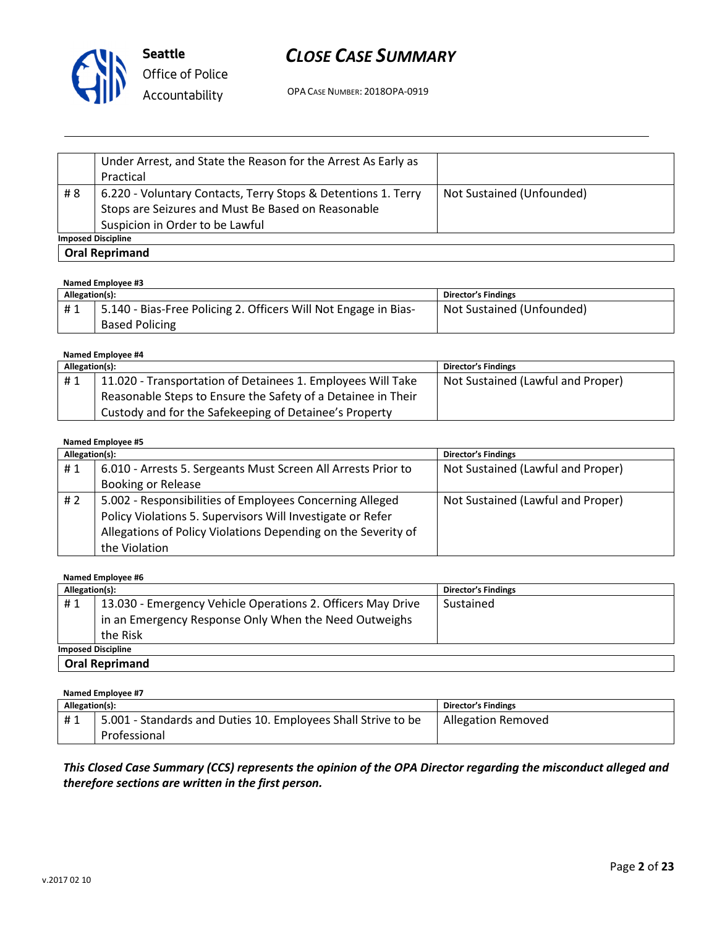

OPA CASE NUMBER: 2018OPA-0919

|                           | Under Arrest, and State the Reason for the Arrest As Early as<br>Practical                                                                             |                           |
|---------------------------|--------------------------------------------------------------------------------------------------------------------------------------------------------|---------------------------|
| #8                        | 6.220 - Voluntary Contacts, Terry Stops & Detentions 1. Terry<br>Stops are Seizures and Must Be Based on Reasonable<br>Suspicion in Order to be Lawful | Not Sustained (Unfounded) |
| <b>Imposed Discipline</b> |                                                                                                                                                        |                           |
|                           | <b>Oral Reprimand</b>                                                                                                                                  |                           |

#### Named Employee #3

| Allegation(s): |                                                                 | <b>Director's Findings</b> |
|----------------|-----------------------------------------------------------------|----------------------------|
| #1             | 5.140 - Bias-Free Policing 2. Officers Will Not Engage in Bias- | Not Sustained (Unfounded)  |
|                | <b>Based Policing</b>                                           |                            |

#### Named Employee #4

| Allegation(s): |                                                              | <b>Director's Findings</b>        |
|----------------|--------------------------------------------------------------|-----------------------------------|
| #1             | 11.020 - Transportation of Detainees 1. Employees Will Take  | Not Sustained (Lawful and Proper) |
|                | Reasonable Steps to Ensure the Safety of a Detainee in Their |                                   |
|                | Custody and for the Safekeeping of Detainee's Property       |                                   |

#### Named Employee #5

| Allegation(s): |                                                               | <b>Director's Findings</b>        |
|----------------|---------------------------------------------------------------|-----------------------------------|
| #1             | 6.010 - Arrests 5. Sergeants Must Screen All Arrests Prior to | Not Sustained (Lawful and Proper) |
|                | <b>Booking or Release</b>                                     |                                   |
| #2             | 5.002 - Responsibilities of Employees Concerning Alleged      | Not Sustained (Lawful and Proper) |
|                | Policy Violations 5. Supervisors Will Investigate or Refer    |                                   |
|                | Allegations of Policy Violations Depending on the Severity of |                                   |
|                | the Violation                                                 |                                   |

#### Named Employee #6

| Allegation(s):            |                                                             | <b>Director's Findings</b> |
|---------------------------|-------------------------------------------------------------|----------------------------|
| #1                        | 13.030 - Emergency Vehicle Operations 2. Officers May Drive | Sustained                  |
|                           | in an Emergency Response Only When the Need Outweighs       |                            |
|                           | the Risk                                                    |                            |
| <b>Imposed Discipline</b> |                                                             |                            |
| <b>Oral Reprimand</b>     |                                                             |                            |

#### Named Employee #7 Allegation(s): Director's Findings # 1 | 5.001 - Standards and Duties 10. Employees Shall Strive to be Professional Allegation Removed

### This Closed Case Summary (CCS) represents the opinion of the OPA Director regarding the misconduct alleged and therefore sections are written in the first person.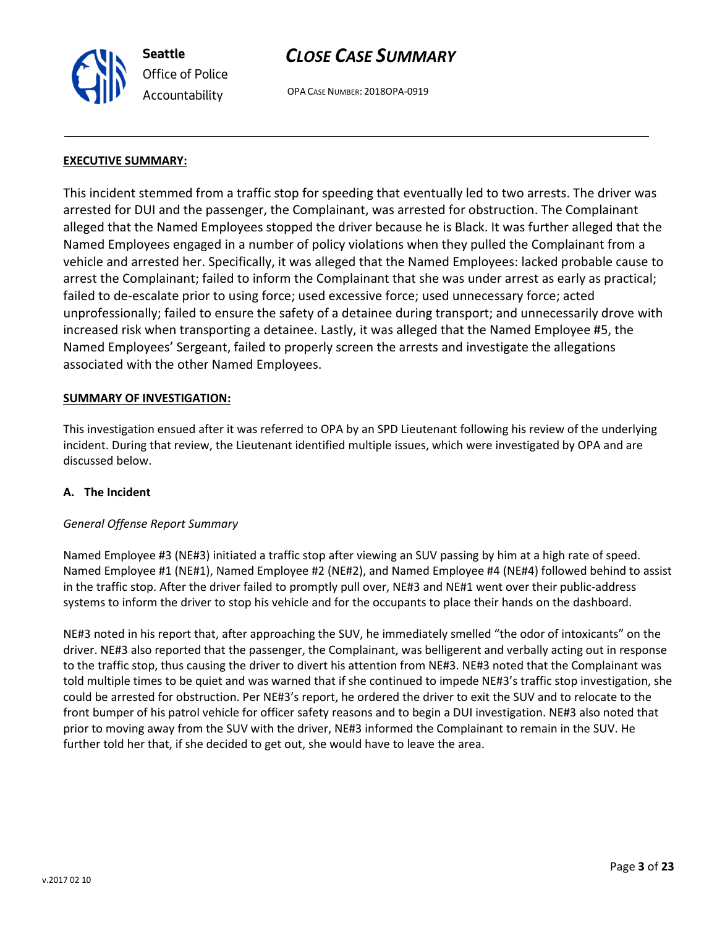OPA CASE NUMBER: 2018OPA-0919

#### EXECUTIVE SUMMARY:

Seattle

Office of Police Accountability

This incident stemmed from a traffic stop for speeding that eventually led to two arrests. The driver was arrested for DUI and the passenger, the Complainant, was arrested for obstruction. The Complainant alleged that the Named Employees stopped the driver because he is Black. It was further alleged that the Named Employees engaged in a number of policy violations when they pulled the Complainant from a vehicle and arrested her. Specifically, it was alleged that the Named Employees: lacked probable cause to arrest the Complainant; failed to inform the Complainant that she was under arrest as early as practical; failed to de-escalate prior to using force; used excessive force; used unnecessary force; acted unprofessionally; failed to ensure the safety of a detainee during transport; and unnecessarily drove with increased risk when transporting a detainee. Lastly, it was alleged that the Named Employee #5, the Named Employees' Sergeant, failed to properly screen the arrests and investigate the allegations associated with the other Named Employees.

#### SUMMARY OF INVESTIGATION:

This investigation ensued after it was referred to OPA by an SPD Lieutenant following his review of the underlying incident. During that review, the Lieutenant identified multiple issues, which were investigated by OPA and are discussed below.

#### A. The Incident

#### General Offense Report Summary

Named Employee #3 (NE#3) initiated a traffic stop after viewing an SUV passing by him at a high rate of speed. Named Employee #1 (NE#1), Named Employee #2 (NE#2), and Named Employee #4 (NE#4) followed behind to assist in the traffic stop. After the driver failed to promptly pull over, NE#3 and NE#1 went over their public-address systems to inform the driver to stop his vehicle and for the occupants to place their hands on the dashboard.

NE#3 noted in his report that, after approaching the SUV, he immediately smelled "the odor of intoxicants" on the driver. NE#3 also reported that the passenger, the Complainant, was belligerent and verbally acting out in response to the traffic stop, thus causing the driver to divert his attention from NE#3. NE#3 noted that the Complainant was told multiple times to be quiet and was warned that if she continued to impede NE#3's traffic stop investigation, she could be arrested for obstruction. Per NE#3's report, he ordered the driver to exit the SUV and to relocate to the front bumper of his patrol vehicle for officer safety reasons and to begin a DUI investigation. NE#3 also noted that prior to moving away from the SUV with the driver, NE#3 informed the Complainant to remain in the SUV. He further told her that, if she decided to get out, she would have to leave the area.

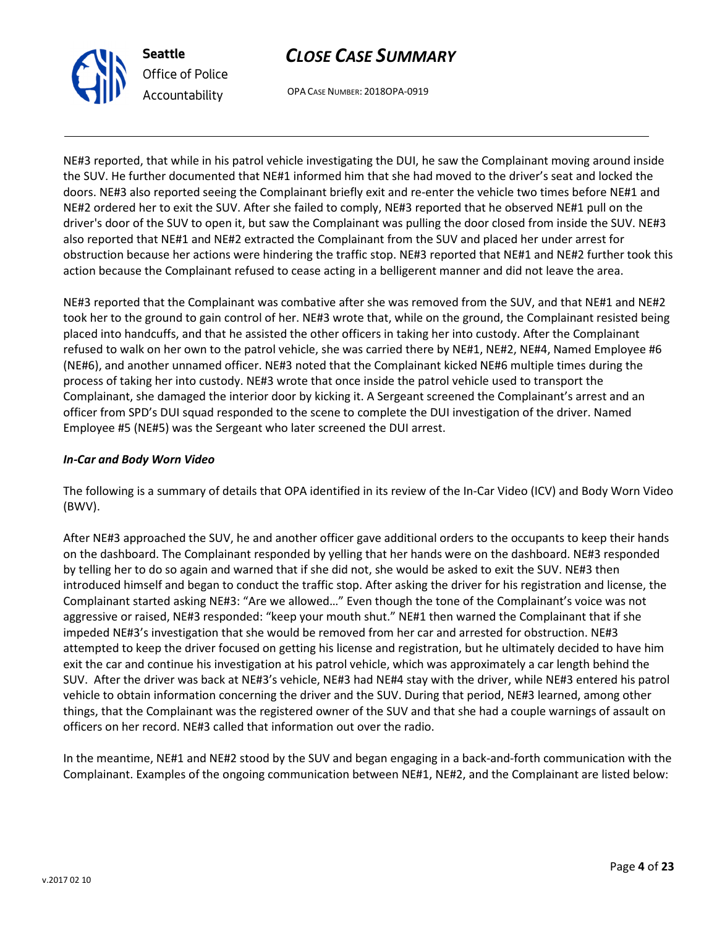

# Office of Police Accountability

# CLOSE CASE SUMMARY

OPA CASE NUMBER: 2018OPA-0919

NE#3 reported, that while in his patrol vehicle investigating the DUI, he saw the Complainant moving around inside the SUV. He further documented that NE#1 informed him that she had moved to the driver's seat and locked the doors. NE#3 also reported seeing the Complainant briefly exit and re-enter the vehicle two times before NE#1 and NE#2 ordered her to exit the SUV. After she failed to comply, NE#3 reported that he observed NE#1 pull on the driver's door of the SUV to open it, but saw the Complainant was pulling the door closed from inside the SUV. NE#3 also reported that NE#1 and NE#2 extracted the Complainant from the SUV and placed her under arrest for obstruction because her actions were hindering the traffic stop. NE#3 reported that NE#1 and NE#2 further took this action because the Complainant refused to cease acting in a belligerent manner and did not leave the area.

NE#3 reported that the Complainant was combative after she was removed from the SUV, and that NE#1 and NE#2 took her to the ground to gain control of her. NE#3 wrote that, while on the ground, the Complainant resisted being placed into handcuffs, and that he assisted the other officers in taking her into custody. After the Complainant refused to walk on her own to the patrol vehicle, she was carried there by NE#1, NE#2, NE#4, Named Employee #6 (NE#6), and another unnamed officer. NE#3 noted that the Complainant kicked NE#6 multiple times during the process of taking her into custody. NE#3 wrote that once inside the patrol vehicle used to transport the Complainant, she damaged the interior door by kicking it. A Sergeant screened the Complainant's arrest and an officer from SPD's DUI squad responded to the scene to complete the DUI investigation of the driver. Named Employee #5 (NE#5) was the Sergeant who later screened the DUI arrest.

### In-Car and Body Worn Video

The following is a summary of details that OPA identified in its review of the In-Car Video (ICV) and Body Worn Video (BWV).

After NE#3 approached the SUV, he and another officer gave additional orders to the occupants to keep their hands on the dashboard. The Complainant responded by yelling that her hands were on the dashboard. NE#3 responded by telling her to do so again and warned that if she did not, she would be asked to exit the SUV. NE#3 then introduced himself and began to conduct the traffic stop. After asking the driver for his registration and license, the Complainant started asking NE#3: "Are we allowed…" Even though the tone of the Complainant's voice was not aggressive or raised, NE#3 responded: "keep your mouth shut." NE#1 then warned the Complainant that if she impeded NE#3's investigation that she would be removed from her car and arrested for obstruction. NE#3 attempted to keep the driver focused on getting his license and registration, but he ultimately decided to have him exit the car and continue his investigation at his patrol vehicle, which was approximately a car length behind the SUV. After the driver was back at NE#3's vehicle, NE#3 had NE#4 stay with the driver, while NE#3 entered his patrol vehicle to obtain information concerning the driver and the SUV. During that period, NE#3 learned, among other things, that the Complainant was the registered owner of the SUV and that she had a couple warnings of assault on officers on her record. NE#3 called that information out over the radio.

In the meantime, NE#1 and NE#2 stood by the SUV and began engaging in a back-and-forth communication with the Complainant. Examples of the ongoing communication between NE#1, NE#2, and the Complainant are listed below: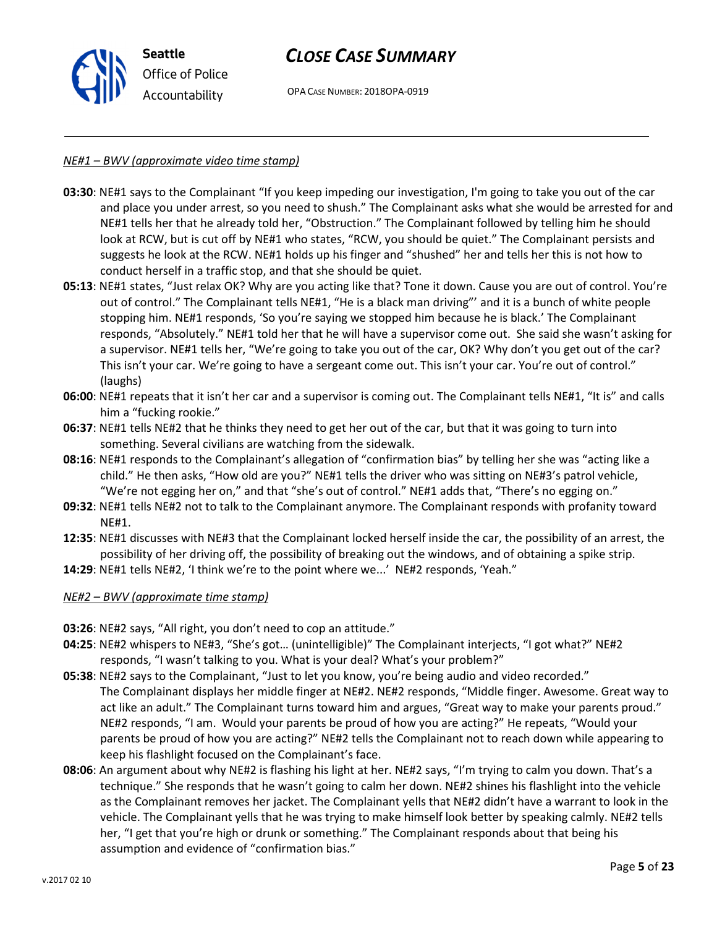

OPA CASE NUMBER: 2018OPA-0919

#### NE#1 – BWV (approximate video time stamp)

- 03:30: NE#1 says to the Complainant "If you keep impeding our investigation, I'm going to take you out of the car and place you under arrest, so you need to shush." The Complainant asks what she would be arrested for and NE#1 tells her that he already told her, "Obstruction." The Complainant followed by telling him he should look at RCW, but is cut off by NE#1 who states, "RCW, you should be quiet." The Complainant persists and suggests he look at the RCW. NE#1 holds up his finger and "shushed" her and tells her this is not how to conduct herself in a traffic stop, and that she should be quiet.
- 05:13: NE#1 states, "Just relax OK? Why are you acting like that? Tone it down. Cause you are out of control. You're out of control." The Complainant tells NE#1, "He is a black man driving"' and it is a bunch of white people stopping him. NE#1 responds, 'So you're saying we stopped him because he is black.' The Complainant responds, "Absolutely." NE#1 told her that he will have a supervisor come out. She said she wasn't asking for a supervisor. NE#1 tells her, "We're going to take you out of the car, OK? Why don't you get out of the car? This isn't your car. We're going to have a sergeant come out. This isn't your car. You're out of control." (laughs)
- 06:00: NE#1 repeats that it isn't her car and a supervisor is coming out. The Complainant tells NE#1, "It is" and calls him a "fucking rookie."
- 06:37: NE#1 tells NE#2 that he thinks they need to get her out of the car, but that it was going to turn into something. Several civilians are watching from the sidewalk.
- 08:16: NE#1 responds to the Complainant's allegation of "confirmation bias" by telling her she was "acting like a child." He then asks, "How old are you?" NE#1 tells the driver who was sitting on NE#3's patrol vehicle, "We're not egging her on," and that "she's out of control." NE#1 adds that, "There's no egging on."
- 09:32: NE#1 tells NE#2 not to talk to the Complainant anymore. The Complainant responds with profanity toward NE#1.
- 12:35: NE#1 discusses with NE#3 that the Complainant locked herself inside the car, the possibility of an arrest, the possibility of her driving off, the possibility of breaking out the windows, and of obtaining a spike strip.
- 14:29: NE#1 tells NE#2, 'I think we're to the point where we...' NE#2 responds, 'Yeah."

#### NE#2 – BWV (approximate time stamp)

- 03:26: NE#2 says, "All right, you don't need to cop an attitude."
- 04:25: NE#2 whispers to NE#3, "She's got… (unintelligible)" The Complainant interjects, "I got what?" NE#2 responds, "I wasn't talking to you. What is your deal? What's your problem?"
- 05:38: NE#2 says to the Complainant, "Just to let you know, you're being audio and video recorded." The Complainant displays her middle finger at NE#2. NE#2 responds, "Middle finger. Awesome. Great way to act like an adult." The Complainant turns toward him and argues, "Great way to make your parents proud." NE#2 responds, "I am. Would your parents be proud of how you are acting?" He repeats, "Would your parents be proud of how you are acting?" NE#2 tells the Complainant not to reach down while appearing to keep his flashlight focused on the Complainant's face.
- 08:06: An argument about why NE#2 is flashing his light at her. NE#2 says, "I'm trying to calm you down. That's a technique." She responds that he wasn't going to calm her down. NE#2 shines his flashlight into the vehicle as the Complainant removes her jacket. The Complainant yells that NE#2 didn't have a warrant to look in the vehicle. The Complainant yells that he was trying to make himself look better by speaking calmly. NE#2 tells her, "I get that you're high or drunk or something." The Complainant responds about that being his assumption and evidence of "confirmation bias."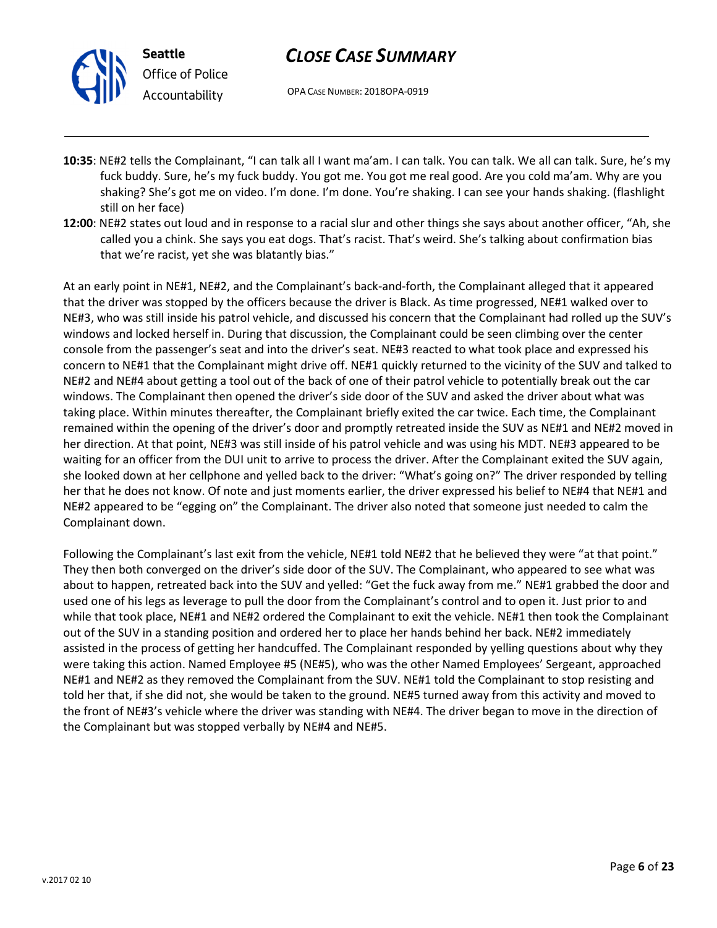



- 10:35: NE#2 tells the Complainant, "I can talk all I want ma'am. I can talk. You can talk. We all can talk. Sure, he's my fuck buddy. Sure, he's my fuck buddy. You got me. You got me real good. Are you cold ma'am. Why are you shaking? She's got me on video. I'm done. I'm done. You're shaking. I can see your hands shaking. (flashlight still on her face)
- 12:00: NE#2 states out loud and in response to a racial slur and other things she says about another officer, "Ah, she called you a chink. She says you eat dogs. That's racist. That's weird. She's talking about confirmation bias that we're racist, yet she was blatantly bias."

At an early point in NE#1, NE#2, and the Complainant's back-and-forth, the Complainant alleged that it appeared that the driver was stopped by the officers because the driver is Black. As time progressed, NE#1 walked over to NE#3, who was still inside his patrol vehicle, and discussed his concern that the Complainant had rolled up the SUV's windows and locked herself in. During that discussion, the Complainant could be seen climbing over the center console from the passenger's seat and into the driver's seat. NE#3 reacted to what took place and expressed his concern to NE#1 that the Complainant might drive off. NE#1 quickly returned to the vicinity of the SUV and talked to NE#2 and NE#4 about getting a tool out of the back of one of their patrol vehicle to potentially break out the car windows. The Complainant then opened the driver's side door of the SUV and asked the driver about what was taking place. Within minutes thereafter, the Complainant briefly exited the car twice. Each time, the Complainant remained within the opening of the driver's door and promptly retreated inside the SUV as NE#1 and NE#2 moved in her direction. At that point, NE#3 was still inside of his patrol vehicle and was using his MDT. NE#3 appeared to be waiting for an officer from the DUI unit to arrive to process the driver. After the Complainant exited the SUV again, she looked down at her cellphone and yelled back to the driver: "What's going on?" The driver responded by telling her that he does not know. Of note and just moments earlier, the driver expressed his belief to NE#4 that NE#1 and NE#2 appeared to be "egging on" the Complainant. The driver also noted that someone just needed to calm the Complainant down.

Following the Complainant's last exit from the vehicle, NE#1 told NE#2 that he believed they were "at that point." They then both converged on the driver's side door of the SUV. The Complainant, who appeared to see what was about to happen, retreated back into the SUV and yelled: "Get the fuck away from me." NE#1 grabbed the door and used one of his legs as leverage to pull the door from the Complainant's control and to open it. Just prior to and while that took place, NE#1 and NE#2 ordered the Complainant to exit the vehicle. NE#1 then took the Complainant out of the SUV in a standing position and ordered her to place her hands behind her back. NE#2 immediately assisted in the process of getting her handcuffed. The Complainant responded by yelling questions about why they were taking this action. Named Employee #5 (NE#5), who was the other Named Employees' Sergeant, approached NE#1 and NE#2 as they removed the Complainant from the SUV. NE#1 told the Complainant to stop resisting and told her that, if she did not, she would be taken to the ground. NE#5 turned away from this activity and moved to the front of NE#3's vehicle where the driver was standing with NE#4. The driver began to move in the direction of the Complainant but was stopped verbally by NE#4 and NE#5.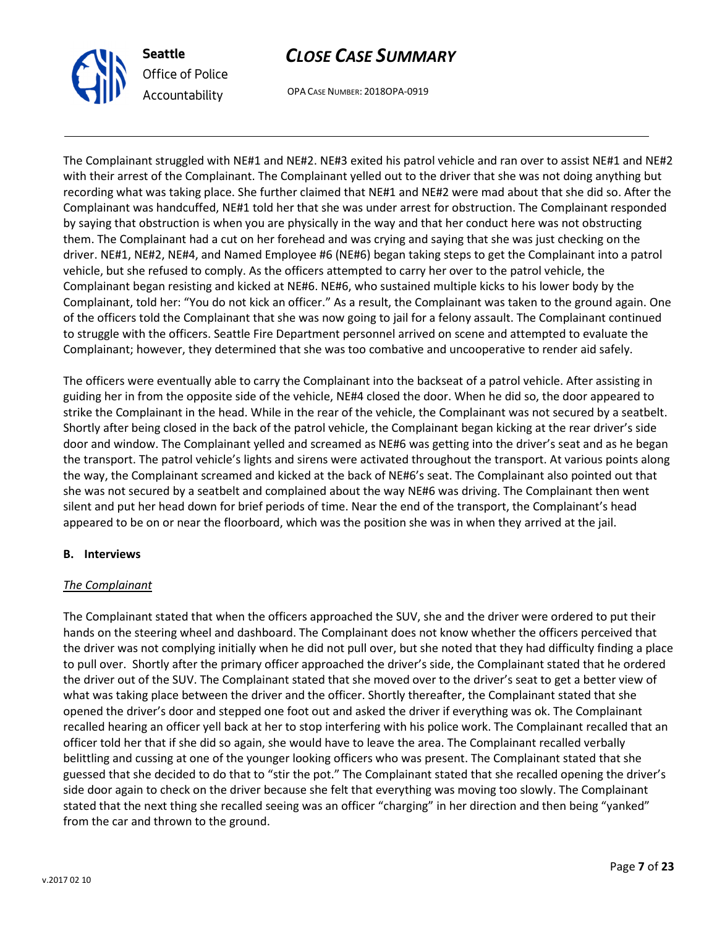



The Complainant struggled with NE#1 and NE#2. NE#3 exited his patrol vehicle and ran over to assist NE#1 and NE#2 with their arrest of the Complainant. The Complainant yelled out to the driver that she was not doing anything but recording what was taking place. She further claimed that NE#1 and NE#2 were mad about that she did so. After the Complainant was handcuffed, NE#1 told her that she was under arrest for obstruction. The Complainant responded by saying that obstruction is when you are physically in the way and that her conduct here was not obstructing them. The Complainant had a cut on her forehead and was crying and saying that she was just checking on the driver. NE#1, NE#2, NE#4, and Named Employee #6 (NE#6) began taking steps to get the Complainant into a patrol vehicle, but she refused to comply. As the officers attempted to carry her over to the patrol vehicle, the Complainant began resisting and kicked at NE#6. NE#6, who sustained multiple kicks to his lower body by the Complainant, told her: "You do not kick an officer." As a result, the Complainant was taken to the ground again. One of the officers told the Complainant that she was now going to jail for a felony assault. The Complainant continued to struggle with the officers. Seattle Fire Department personnel arrived on scene and attempted to evaluate the Complainant; however, they determined that she was too combative and uncooperative to render aid safely.

The officers were eventually able to carry the Complainant into the backseat of a patrol vehicle. After assisting in guiding her in from the opposite side of the vehicle, NE#4 closed the door. When he did so, the door appeared to strike the Complainant in the head. While in the rear of the vehicle, the Complainant was not secured by a seatbelt. Shortly after being closed in the back of the patrol vehicle, the Complainant began kicking at the rear driver's side door and window. The Complainant yelled and screamed as NE#6 was getting into the driver's seat and as he began the transport. The patrol vehicle's lights and sirens were activated throughout the transport. At various points along the way, the Complainant screamed and kicked at the back of NE#6's seat. The Complainant also pointed out that she was not secured by a seatbelt and complained about the way NE#6 was driving. The Complainant then went silent and put her head down for brief periods of time. Near the end of the transport, the Complainant's head appeared to be on or near the floorboard, which was the position she was in when they arrived at the jail.

#### B. Interviews

#### The Complainant

The Complainant stated that when the officers approached the SUV, she and the driver were ordered to put their hands on the steering wheel and dashboard. The Complainant does not know whether the officers perceived that the driver was not complying initially when he did not pull over, but she noted that they had difficulty finding a place to pull over. Shortly after the primary officer approached the driver's side, the Complainant stated that he ordered the driver out of the SUV. The Complainant stated that she moved over to the driver's seat to get a better view of what was taking place between the driver and the officer. Shortly thereafter, the Complainant stated that she opened the driver's door and stepped one foot out and asked the driver if everything was ok. The Complainant recalled hearing an officer yell back at her to stop interfering with his police work. The Complainant recalled that an officer told her that if she did so again, she would have to leave the area. The Complainant recalled verbally belittling and cussing at one of the younger looking officers who was present. The Complainant stated that she guessed that she decided to do that to "stir the pot." The Complainant stated that she recalled opening the driver's side door again to check on the driver because she felt that everything was moving too slowly. The Complainant stated that the next thing she recalled seeing was an officer "charging" in her direction and then being "yanked" from the car and thrown to the ground.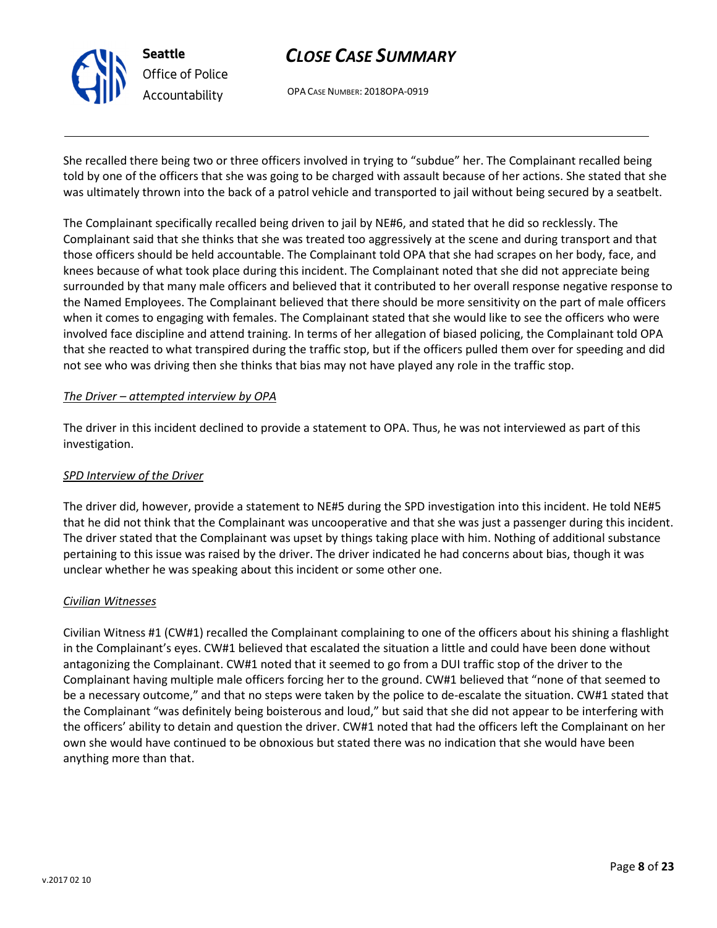

Seattle Office of Police Accountability

# CLOSE CASE SUMMARY

OPA CASE NUMBER: 2018OPA-0919

She recalled there being two or three officers involved in trying to "subdue" her. The Complainant recalled being told by one of the officers that she was going to be charged with assault because of her actions. She stated that she was ultimately thrown into the back of a patrol vehicle and transported to jail without being secured by a seatbelt.

The Complainant specifically recalled being driven to jail by NE#6, and stated that he did so recklessly. The Complainant said that she thinks that she was treated too aggressively at the scene and during transport and that those officers should be held accountable. The Complainant told OPA that she had scrapes on her body, face, and knees because of what took place during this incident. The Complainant noted that she did not appreciate being surrounded by that many male officers and believed that it contributed to her overall response negative response to the Named Employees. The Complainant believed that there should be more sensitivity on the part of male officers when it comes to engaging with females. The Complainant stated that she would like to see the officers who were involved face discipline and attend training. In terms of her allegation of biased policing, the Complainant told OPA that she reacted to what transpired during the traffic stop, but if the officers pulled them over for speeding and did not see who was driving then she thinks that bias may not have played any role in the traffic stop.

### The Driver – attempted interview by OPA

The driver in this incident declined to provide a statement to OPA. Thus, he was not interviewed as part of this investigation.

### SPD Interview of the Driver

The driver did, however, provide a statement to NE#5 during the SPD investigation into this incident. He told NE#5 that he did not think that the Complainant was uncooperative and that she was just a passenger during this incident. The driver stated that the Complainant was upset by things taking place with him. Nothing of additional substance pertaining to this issue was raised by the driver. The driver indicated he had concerns about bias, though it was unclear whether he was speaking about this incident or some other one.

#### Civilian Witnesses

Civilian Witness #1 (CW#1) recalled the Complainant complaining to one of the officers about his shining a flashlight in the Complainant's eyes. CW#1 believed that escalated the situation a little and could have been done without antagonizing the Complainant. CW#1 noted that it seemed to go from a DUI traffic stop of the driver to the Complainant having multiple male officers forcing her to the ground. CW#1 believed that "none of that seemed to be a necessary outcome," and that no steps were taken by the police to de-escalate the situation. CW#1 stated that the Complainant "was definitely being boisterous and loud," but said that she did not appear to be interfering with the officers' ability to detain and question the driver. CW#1 noted that had the officers left the Complainant on her own she would have continued to be obnoxious but stated there was no indication that she would have been anything more than that.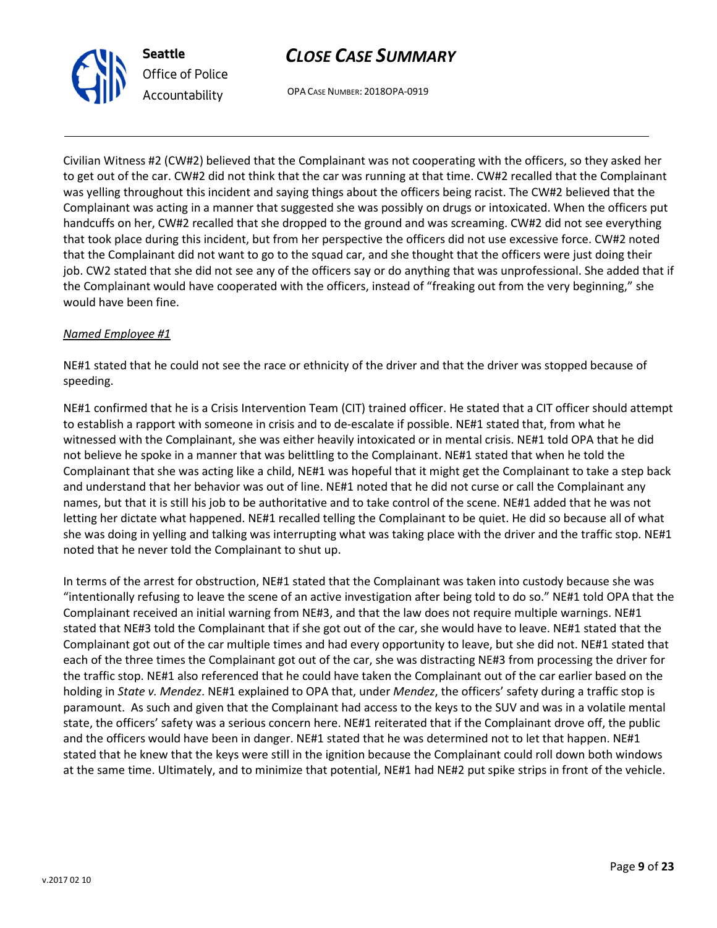



Civilian Witness #2 (CW#2) believed that the Complainant was not cooperating with the officers, so they asked her to get out of the car. CW#2 did not think that the car was running at that time. CW#2 recalled that the Complainant was yelling throughout this incident and saying things about the officers being racist. The CW#2 believed that the Complainant was acting in a manner that suggested she was possibly on drugs or intoxicated. When the officers put handcuffs on her, CW#2 recalled that she dropped to the ground and was screaming. CW#2 did not see everything that took place during this incident, but from her perspective the officers did not use excessive force. CW#2 noted that the Complainant did not want to go to the squad car, and she thought that the officers were just doing their job. CW2 stated that she did not see any of the officers say or do anything that was unprofessional. She added that if the Complainant would have cooperated with the officers, instead of "freaking out from the very beginning," she would have been fine.

#### Named Employee #1

NE#1 stated that he could not see the race or ethnicity of the driver and that the driver was stopped because of speeding.

NE#1 confirmed that he is a Crisis Intervention Team (CIT) trained officer. He stated that a CIT officer should attempt to establish a rapport with someone in crisis and to de-escalate if possible. NE#1 stated that, from what he witnessed with the Complainant, she was either heavily intoxicated or in mental crisis. NE#1 told OPA that he did not believe he spoke in a manner that was belittling to the Complainant. NE#1 stated that when he told the Complainant that she was acting like a child, NE#1 was hopeful that it might get the Complainant to take a step back and understand that her behavior was out of line. NE#1 noted that he did not curse or call the Complainant any names, but that it is still his job to be authoritative and to take control of the scene. NE#1 added that he was not letting her dictate what happened. NE#1 recalled telling the Complainant to be quiet. He did so because all of what she was doing in yelling and talking was interrupting what was taking place with the driver and the traffic stop. NE#1 noted that he never told the Complainant to shut up.

In terms of the arrest for obstruction, NE#1 stated that the Complainant was taken into custody because she was "intentionally refusing to leave the scene of an active investigation after being told to do so." NE#1 told OPA that the Complainant received an initial warning from NE#3, and that the law does not require multiple warnings. NE#1 stated that NE#3 told the Complainant that if she got out of the car, she would have to leave. NE#1 stated that the Complainant got out of the car multiple times and had every opportunity to leave, but she did not. NE#1 stated that each of the three times the Complainant got out of the car, she was distracting NE#3 from processing the driver for the traffic stop. NE#1 also referenced that he could have taken the Complainant out of the car earlier based on the holding in State v. Mendez. NE#1 explained to OPA that, under Mendez, the officers' safety during a traffic stop is paramount. As such and given that the Complainant had access to the keys to the SUV and was in a volatile mental state, the officers' safety was a serious concern here. NE#1 reiterated that if the Complainant drove off, the public and the officers would have been in danger. NE#1 stated that he was determined not to let that happen. NE#1 stated that he knew that the keys were still in the ignition because the Complainant could roll down both windows at the same time. Ultimately, and to minimize that potential, NE#1 had NE#2 put spike strips in front of the vehicle.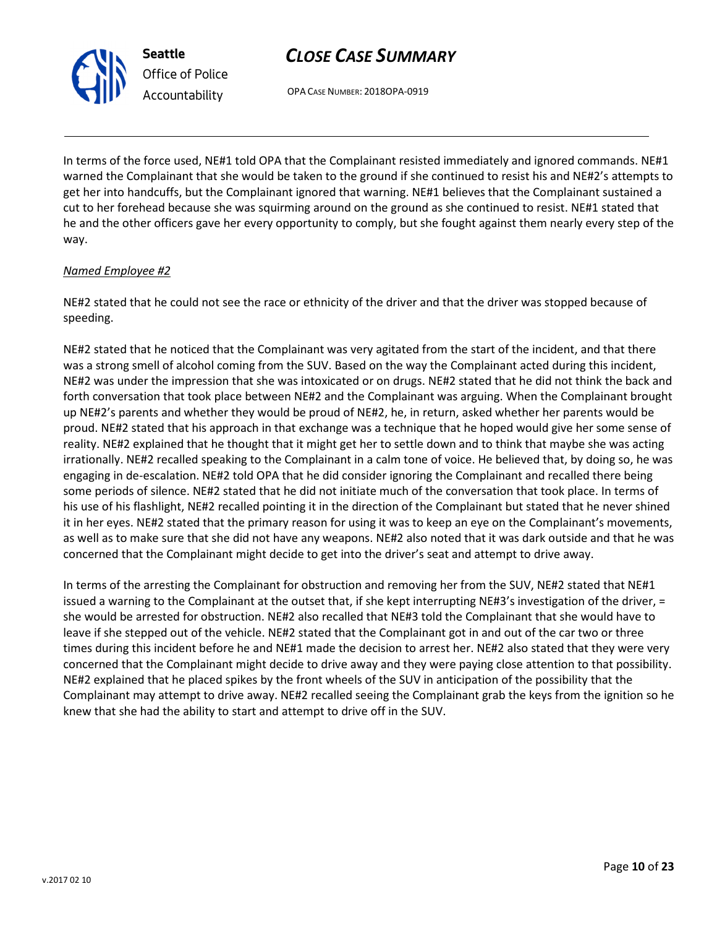OPA CASE NUMBER: 2018OPA-0919

In terms of the force used, NE#1 told OPA that the Complainant resisted immediately and ignored commands. NE#1 warned the Complainant that she would be taken to the ground if she continued to resist his and NE#2's attempts to get her into handcuffs, but the Complainant ignored that warning. NE#1 believes that the Complainant sustained a cut to her forehead because she was squirming around on the ground as she continued to resist. NE#1 stated that he and the other officers gave her every opportunity to comply, but she fought against them nearly every step of the way.

# Named Employee #2

NE#2 stated that he could not see the race or ethnicity of the driver and that the driver was stopped because of speeding.

NE#2 stated that he noticed that the Complainant was very agitated from the start of the incident, and that there was a strong smell of alcohol coming from the SUV. Based on the way the Complainant acted during this incident, NE#2 was under the impression that she was intoxicated or on drugs. NE#2 stated that he did not think the back and forth conversation that took place between NE#2 and the Complainant was arguing. When the Complainant brought up NE#2's parents and whether they would be proud of NE#2, he, in return, asked whether her parents would be proud. NE#2 stated that his approach in that exchange was a technique that he hoped would give her some sense of reality. NE#2 explained that he thought that it might get her to settle down and to think that maybe she was acting irrationally. NE#2 recalled speaking to the Complainant in a calm tone of voice. He believed that, by doing so, he was engaging in de-escalation. NE#2 told OPA that he did consider ignoring the Complainant and recalled there being some periods of silence. NE#2 stated that he did not initiate much of the conversation that took place. In terms of his use of his flashlight, NE#2 recalled pointing it in the direction of the Complainant but stated that he never shined it in her eyes. NE#2 stated that the primary reason for using it was to keep an eye on the Complainant's movements, as well as to make sure that she did not have any weapons. NE#2 also noted that it was dark outside and that he was concerned that the Complainant might decide to get into the driver's seat and attempt to drive away.

In terms of the arresting the Complainant for obstruction and removing her from the SUV, NE#2 stated that NE#1 issued a warning to the Complainant at the outset that, if she kept interrupting NE#3's investigation of the driver, = she would be arrested for obstruction. NE#2 also recalled that NE#3 told the Complainant that she would have to leave if she stepped out of the vehicle. NE#2 stated that the Complainant got in and out of the car two or three times during this incident before he and NE#1 made the decision to arrest her. NE#2 also stated that they were very concerned that the Complainant might decide to drive away and they were paying close attention to that possibility. NE#2 explained that he placed spikes by the front wheels of the SUV in anticipation of the possibility that the Complainant may attempt to drive away. NE#2 recalled seeing the Complainant grab the keys from the ignition so he knew that she had the ability to start and attempt to drive off in the SUV.



Seattle

Office of Police Accountability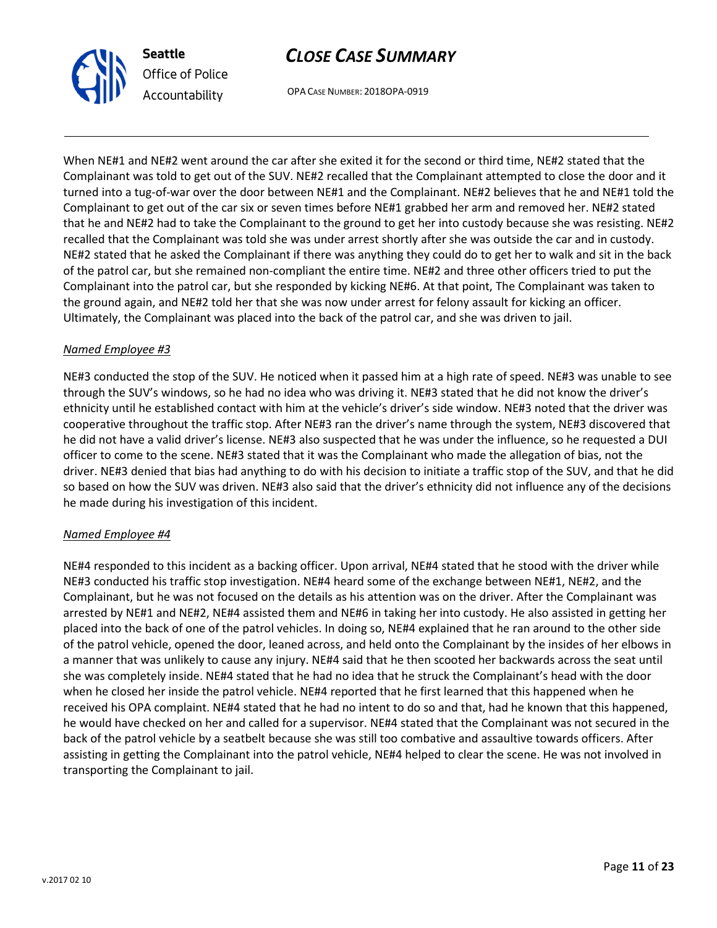

OPA CASE NUMBER: 2018OPA-0919

When NE#1 and NE#2 went around the car after she exited it for the second or third time, NE#2 stated that the Complainant was told to get out of the SUV. NE#2 recalled that the Complainant attempted to close the door and it turned into a tug-of-war over the door between NE#1 and the Complainant. NE#2 believes that he and NE#1 told the Complainant to get out of the car six or seven times before NE#1 grabbed her arm and removed her. NE#2 stated that he and NE#2 had to take the Complainant to the ground to get her into custody because she was resisting. NE#2 recalled that the Complainant was told she was under arrest shortly after she was outside the car and in custody. NE#2 stated that he asked the Complainant if there was anything they could do to get her to walk and sit in the back of the patrol car, but she remained non-compliant the entire time. NE#2 and three other officers tried to put the Complainant into the patrol car, but she responded by kicking NE#6. At that point, The Complainant was taken to the ground again, and NE#2 told her that she was now under arrest for felony assault for kicking an officer. Ultimately, the Complainant was placed into the back of the patrol car, and she was driven to jail.

### Named Employee #3

NE#3 conducted the stop of the SUV. He noticed when it passed him at a high rate of speed. NE#3 was unable to see through the SUV's windows, so he had no idea who was driving it. NE#3 stated that he did not know the driver's ethnicity until he established contact with him at the vehicle's driver's side window. NE#3 noted that the driver was cooperative throughout the traffic stop. After NE#3 ran the driver's name through the system, NE#3 discovered that he did not have a valid driver's license. NE#3 also suspected that he was under the influence, so he requested a DUI officer to come to the scene. NE#3 stated that it was the Complainant who made the allegation of bias, not the driver. NE#3 denied that bias had anything to do with his decision to initiate a traffic stop of the SUV, and that he did so based on how the SUV was driven. NE#3 also said that the driver's ethnicity did not influence any of the decisions he made during his investigation of this incident.

#### Named Employee #4

NE#4 responded to this incident as a backing officer. Upon arrival, NE#4 stated that he stood with the driver while NE#3 conducted his traffic stop investigation. NE#4 heard some of the exchange between NE#1, NE#2, and the Complainant, but he was not focused on the details as his attention was on the driver. After the Complainant was arrested by NE#1 and NE#2, NE#4 assisted them and NE#6 in taking her into custody. He also assisted in getting her placed into the back of one of the patrol vehicles. In doing so, NE#4 explained that he ran around to the other side of the patrol vehicle, opened the door, leaned across, and held onto the Complainant by the insides of her elbows in a manner that was unlikely to cause any injury. NE#4 said that he then scooted her backwards across the seat until she was completely inside. NE#4 stated that he had no idea that he struck the Complainant's head with the door when he closed her inside the patrol vehicle. NE#4 reported that he first learned that this happened when he received his OPA complaint. NE#4 stated that he had no intent to do so and that, had he known that this happened, he would have checked on her and called for a supervisor. NE#4 stated that the Complainant was not secured in the back of the patrol vehicle by a seatbelt because she was still too combative and assaultive towards officers. After assisting in getting the Complainant into the patrol vehicle, NE#4 helped to clear the scene. He was not involved in transporting the Complainant to jail.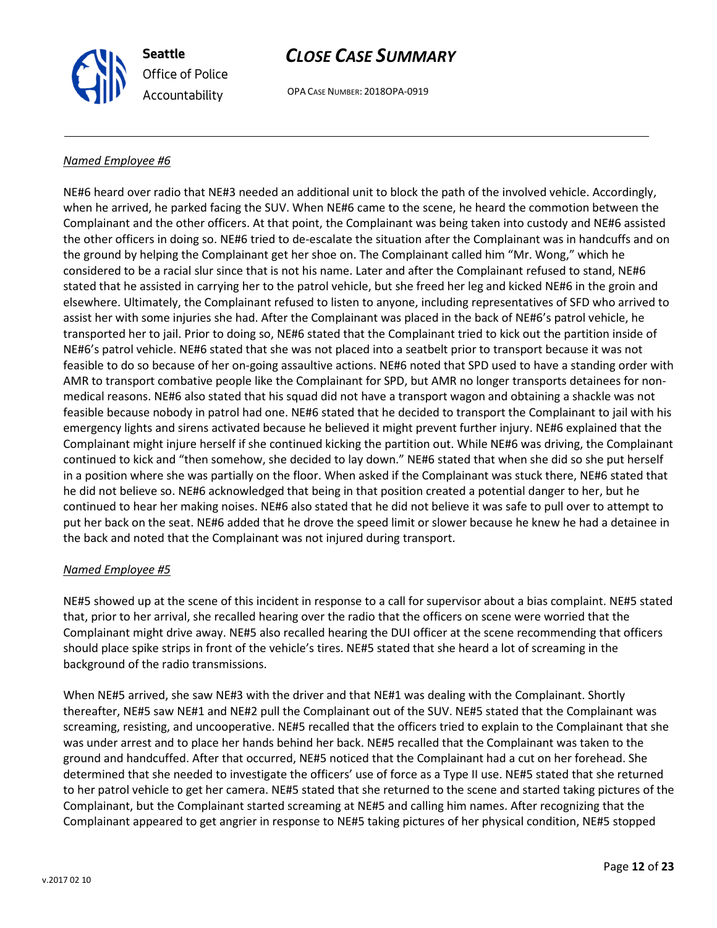

OPA CASE NUMBER: 2018OPA-0919

#### Named Employee #6

NE#6 heard over radio that NE#3 needed an additional unit to block the path of the involved vehicle. Accordingly, when he arrived, he parked facing the SUV. When NE#6 came to the scene, he heard the commotion between the Complainant and the other officers. At that point, the Complainant was being taken into custody and NE#6 assisted the other officers in doing so. NE#6 tried to de-escalate the situation after the Complainant was in handcuffs and on the ground by helping the Complainant get her shoe on. The Complainant called him "Mr. Wong," which he considered to be a racial slur since that is not his name. Later and after the Complainant refused to stand, NE#6 stated that he assisted in carrying her to the patrol vehicle, but she freed her leg and kicked NE#6 in the groin and elsewhere. Ultimately, the Complainant refused to listen to anyone, including representatives of SFD who arrived to assist her with some injuries she had. After the Complainant was placed in the back of NE#6's patrol vehicle, he transported her to jail. Prior to doing so, NE#6 stated that the Complainant tried to kick out the partition inside of NE#6's patrol vehicle. NE#6 stated that she was not placed into a seatbelt prior to transport because it was not feasible to do so because of her on-going assaultive actions. NE#6 noted that SPD used to have a standing order with AMR to transport combative people like the Complainant for SPD, but AMR no longer transports detainees for nonmedical reasons. NE#6 also stated that his squad did not have a transport wagon and obtaining a shackle was not feasible because nobody in patrol had one. NE#6 stated that he decided to transport the Complainant to jail with his emergency lights and sirens activated because he believed it might prevent further injury. NE#6 explained that the Complainant might injure herself if she continued kicking the partition out. While NE#6 was driving, the Complainant continued to kick and "then somehow, she decided to lay down." NE#6 stated that when she did so she put herself in a position where she was partially on the floor. When asked if the Complainant was stuck there, NE#6 stated that he did not believe so. NE#6 acknowledged that being in that position created a potential danger to her, but he continued to hear her making noises. NE#6 also stated that he did not believe it was safe to pull over to attempt to put her back on the seat. NE#6 added that he drove the speed limit or slower because he knew he had a detainee in the back and noted that the Complainant was not injured during transport.

#### Named Employee #5

NE#5 showed up at the scene of this incident in response to a call for supervisor about a bias complaint. NE#5 stated that, prior to her arrival, she recalled hearing over the radio that the officers on scene were worried that the Complainant might drive away. NE#5 also recalled hearing the DUI officer at the scene recommending that officers should place spike strips in front of the vehicle's tires. NE#5 stated that she heard a lot of screaming in the background of the radio transmissions.

When NE#5 arrived, she saw NE#3 with the driver and that NE#1 was dealing with the Complainant. Shortly thereafter, NE#5 saw NE#1 and NE#2 pull the Complainant out of the SUV. NE#5 stated that the Complainant was screaming, resisting, and uncooperative. NE#5 recalled that the officers tried to explain to the Complainant that she was under arrest and to place her hands behind her back. NE#5 recalled that the Complainant was taken to the ground and handcuffed. After that occurred, NE#5 noticed that the Complainant had a cut on her forehead. She determined that she needed to investigate the officers' use of force as a Type II use. NE#5 stated that she returned to her patrol vehicle to get her camera. NE#5 stated that she returned to the scene and started taking pictures of the Complainant, but the Complainant started screaming at NE#5 and calling him names. After recognizing that the Complainant appeared to get angrier in response to NE#5 taking pictures of her physical condition, NE#5 stopped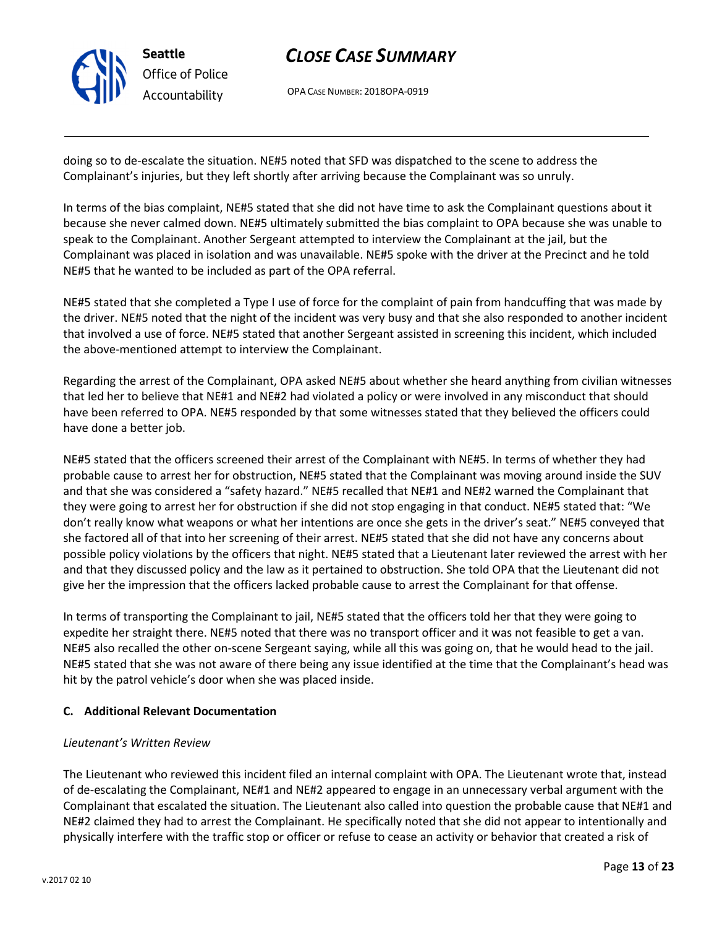

OPA CASE NUMBER: 2018OPA-0919

doing so to de-escalate the situation. NE#5 noted that SFD was dispatched to the scene to address the Complainant's injuries, but they left shortly after arriving because the Complainant was so unruly.

In terms of the bias complaint, NE#5 stated that she did not have time to ask the Complainant questions about it because she never calmed down. NE#5 ultimately submitted the bias complaint to OPA because she was unable to speak to the Complainant. Another Sergeant attempted to interview the Complainant at the jail, but the Complainant was placed in isolation and was unavailable. NE#5 spoke with the driver at the Precinct and he told NE#5 that he wanted to be included as part of the OPA referral.

NE#5 stated that she completed a Type I use of force for the complaint of pain from handcuffing that was made by the driver. NE#5 noted that the night of the incident was very busy and that she also responded to another incident that involved a use of force. NE#5 stated that another Sergeant assisted in screening this incident, which included the above-mentioned attempt to interview the Complainant.

Regarding the arrest of the Complainant, OPA asked NE#5 about whether she heard anything from civilian witnesses that led her to believe that NE#1 and NE#2 had violated a policy or were involved in any misconduct that should have been referred to OPA. NE#5 responded by that some witnesses stated that they believed the officers could have done a better job.

NE#5 stated that the officers screened their arrest of the Complainant with NE#5. In terms of whether they had probable cause to arrest her for obstruction, NE#5 stated that the Complainant was moving around inside the SUV and that she was considered a "safety hazard." NE#5 recalled that NE#1 and NE#2 warned the Complainant that they were going to arrest her for obstruction if she did not stop engaging in that conduct. NE#5 stated that: "We don't really know what weapons or what her intentions are once she gets in the driver's seat." NE#5 conveyed that she factored all of that into her screening of their arrest. NE#5 stated that she did not have any concerns about possible policy violations by the officers that night. NE#5 stated that a Lieutenant later reviewed the arrest with her and that they discussed policy and the law as it pertained to obstruction. She told OPA that the Lieutenant did not give her the impression that the officers lacked probable cause to arrest the Complainant for that offense.

In terms of transporting the Complainant to jail, NE#5 stated that the officers told her that they were going to expedite her straight there. NE#5 noted that there was no transport officer and it was not feasible to get a van. NE#5 also recalled the other on-scene Sergeant saying, while all this was going on, that he would head to the jail. NE#5 stated that she was not aware of there being any issue identified at the time that the Complainant's head was hit by the patrol vehicle's door when she was placed inside.

### C. Additional Relevant Documentation

#### Lieutenant's Written Review

The Lieutenant who reviewed this incident filed an internal complaint with OPA. The Lieutenant wrote that, instead of de-escalating the Complainant, NE#1 and NE#2 appeared to engage in an unnecessary verbal argument with the Complainant that escalated the situation. The Lieutenant also called into question the probable cause that NE#1 and NE#2 claimed they had to arrest the Complainant. He specifically noted that she did not appear to intentionally and physically interfere with the traffic stop or officer or refuse to cease an activity or behavior that created a risk of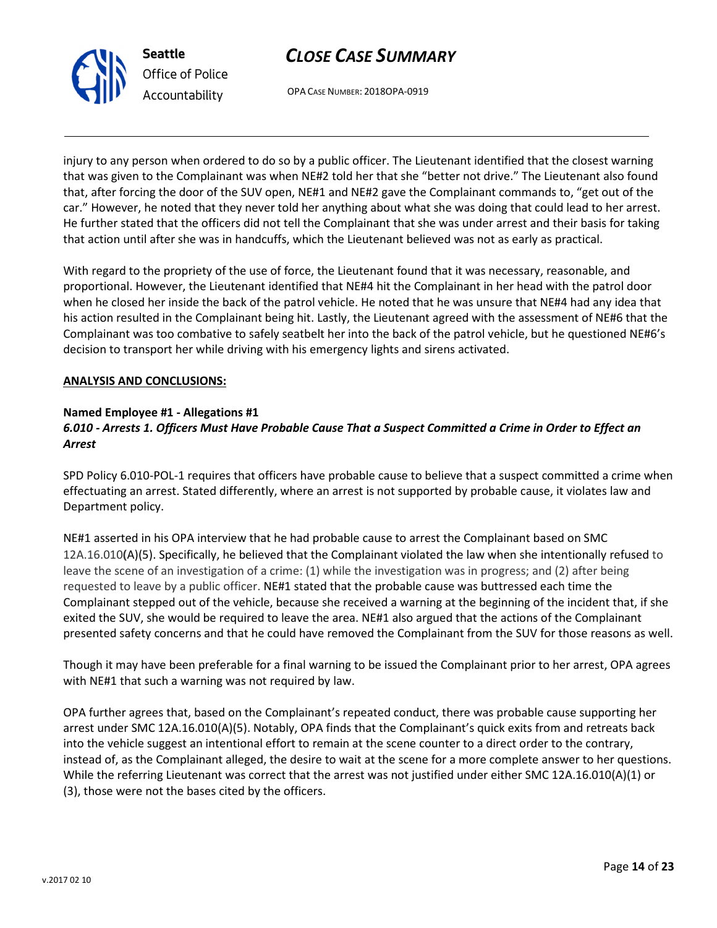



injury to any person when ordered to do so by a public officer. The Lieutenant identified that the closest warning that was given to the Complainant was when NE#2 told her that she "better not drive." The Lieutenant also found that, after forcing the door of the SUV open, NE#1 and NE#2 gave the Complainant commands to, "get out of the car." However, he noted that they never told her anything about what she was doing that could lead to her arrest. He further stated that the officers did not tell the Complainant that she was under arrest and their basis for taking that action until after she was in handcuffs, which the Lieutenant believed was not as early as practical.

With regard to the propriety of the use of force, the Lieutenant found that it was necessary, reasonable, and proportional. However, the Lieutenant identified that NE#4 hit the Complainant in her head with the patrol door when he closed her inside the back of the patrol vehicle. He noted that he was unsure that NE#4 had any idea that his action resulted in the Complainant being hit. Lastly, the Lieutenant agreed with the assessment of NE#6 that the Complainant was too combative to safely seatbelt her into the back of the patrol vehicle, but he questioned NE#6's decision to transport her while driving with his emergency lights and sirens activated.

#### ANALYSIS AND CONCLUSIONS:

#### Named Employee #1 - Allegations #1 6.010 - Arrests 1. Officers Must Have Probable Cause That a Suspect Committed a Crime in Order to Effect an Arrest

SPD Policy 6.010-POL-1 requires that officers have probable cause to believe that a suspect committed a crime when effectuating an arrest. Stated differently, where an arrest is not supported by probable cause, it violates law and Department policy.

NE#1 asserted in his OPA interview that he had probable cause to arrest the Complainant based on SMC 12A.16.010(A)(5). Specifically, he believed that the Complainant violated the law when she intentionally refused to leave the scene of an investigation of a crime: (1) while the investigation was in progress; and (2) after being requested to leave by a public officer. NE#1 stated that the probable cause was buttressed each time the Complainant stepped out of the vehicle, because she received a warning at the beginning of the incident that, if she exited the SUV, she would be required to leave the area. NE#1 also argued that the actions of the Complainant presented safety concerns and that he could have removed the Complainant from the SUV for those reasons as well.

Though it may have been preferable for a final warning to be issued the Complainant prior to her arrest, OPA agrees with NE#1 that such a warning was not required by law.

OPA further agrees that, based on the Complainant's repeated conduct, there was probable cause supporting her arrest under SMC 12A.16.010(A)(5). Notably, OPA finds that the Complainant's quick exits from and retreats back into the vehicle suggest an intentional effort to remain at the scene counter to a direct order to the contrary, instead of, as the Complainant alleged, the desire to wait at the scene for a more complete answer to her questions. While the referring Lieutenant was correct that the arrest was not justified under either SMC 12A.16.010(A)(1) or (3), those were not the bases cited by the officers.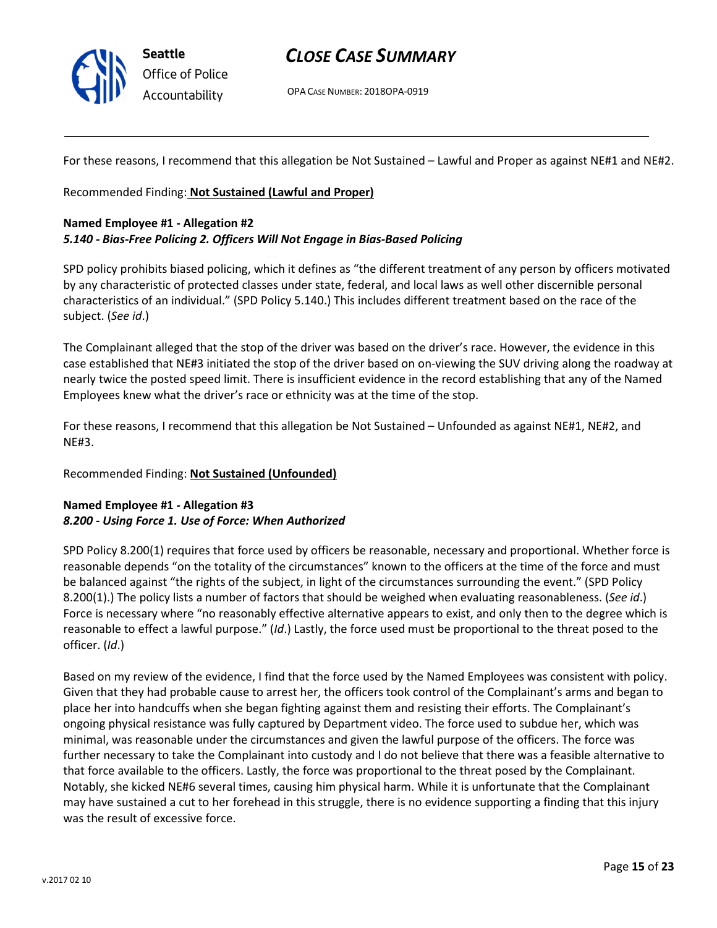

OPA CASE NUMBER: 2018OPA-0919

For these reasons, I recommend that this allegation be Not Sustained – Lawful and Proper as against NE#1 and NE#2.

Recommended Finding: Not Sustained (Lawful and Proper)

#### Named Employee #1 - Allegation #2

#### 5.140 - Bias-Free Policing 2. Officers Will Not Engage in Bias-Based Policing

SPD policy prohibits biased policing, which it defines as "the different treatment of any person by officers motivated by any characteristic of protected classes under state, federal, and local laws as well other discernible personal characteristics of an individual." (SPD Policy 5.140.) This includes different treatment based on the race of the subject. (See id.)

The Complainant alleged that the stop of the driver was based on the driver's race. However, the evidence in this case established that NE#3 initiated the stop of the driver based on on-viewing the SUV driving along the roadway at nearly twice the posted speed limit. There is insufficient evidence in the record establishing that any of the Named Employees knew what the driver's race or ethnicity was at the time of the stop.

For these reasons, I recommend that this allegation be Not Sustained – Unfounded as against NE#1, NE#2, and NE#3.

#### Recommended Finding: Not Sustained (Unfounded)

#### Named Employee #1 - Allegation #3 8.200 - Using Force 1. Use of Force: When Authorized

SPD Policy 8.200(1) requires that force used by officers be reasonable, necessary and proportional. Whether force is reasonable depends "on the totality of the circumstances" known to the officers at the time of the force and must be balanced against "the rights of the subject, in light of the circumstances surrounding the event." (SPD Policy 8.200(1).) The policy lists a number of factors that should be weighed when evaluating reasonableness. (See id.) Force is necessary where "no reasonably effective alternative appears to exist, and only then to the degree which is reasonable to effect a lawful purpose." (Id.) Lastly, the force used must be proportional to the threat posed to the officer. (Id.)

Based on my review of the evidence, I find that the force used by the Named Employees was consistent with policy. Given that they had probable cause to arrest her, the officers took control of the Complainant's arms and began to place her into handcuffs when she began fighting against them and resisting their efforts. The Complainant's ongoing physical resistance was fully captured by Department video. The force used to subdue her, which was minimal, was reasonable under the circumstances and given the lawful purpose of the officers. The force was further necessary to take the Complainant into custody and I do not believe that there was a feasible alternative to that force available to the officers. Lastly, the force was proportional to the threat posed by the Complainant. Notably, she kicked NE#6 several times, causing him physical harm. While it is unfortunate that the Complainant may have sustained a cut to her forehead in this struggle, there is no evidence supporting a finding that this injury was the result of excessive force.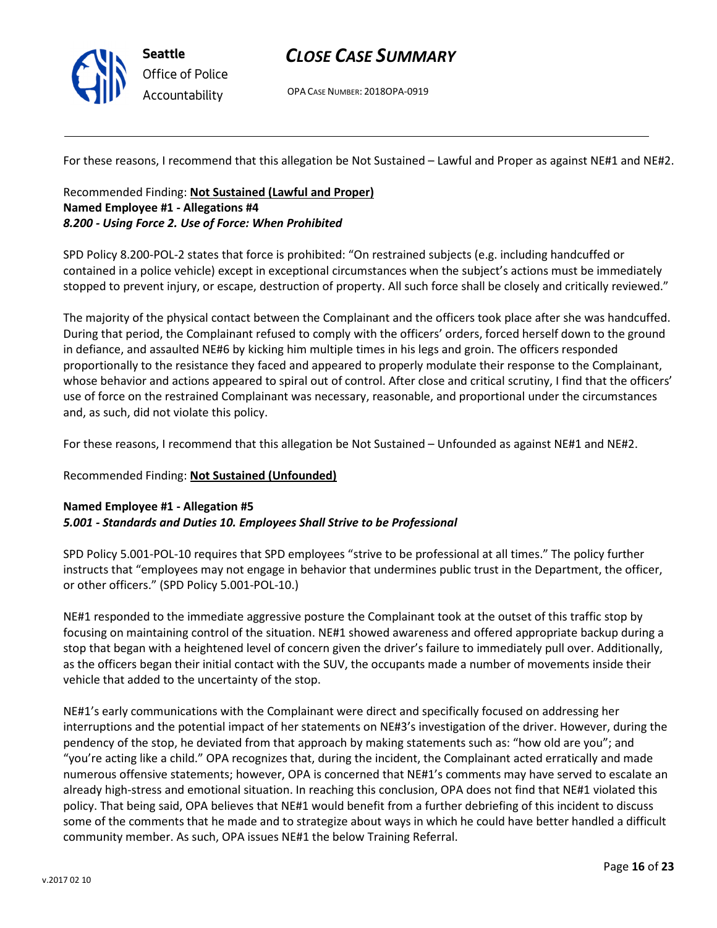

OPA CASE NUMBER: 2018OPA-0919

For these reasons, I recommend that this allegation be Not Sustained – Lawful and Proper as against NE#1 and NE#2.

### Recommended Finding: Not Sustained (Lawful and Proper) Named Employee #1 - Allegations #4 8.200 - Using Force 2. Use of Force: When Prohibited

SPD Policy 8.200-POL-2 states that force is prohibited: "On restrained subjects (e.g. including handcuffed or contained in a police vehicle) except in exceptional circumstances when the subject's actions must be immediately stopped to prevent injury, or escape, destruction of property. All such force shall be closely and critically reviewed."

The majority of the physical contact between the Complainant and the officers took place after she was handcuffed. During that period, the Complainant refused to comply with the officers' orders, forced herself down to the ground in defiance, and assaulted NE#6 by kicking him multiple times in his legs and groin. The officers responded proportionally to the resistance they faced and appeared to properly modulate their response to the Complainant, whose behavior and actions appeared to spiral out of control. After close and critical scrutiny, I find that the officers' use of force on the restrained Complainant was necessary, reasonable, and proportional under the circumstances and, as such, did not violate this policy.

For these reasons, I recommend that this allegation be Not Sustained – Unfounded as against NE#1 and NE#2.

#### Recommended Finding: Not Sustained (Unfounded)

#### Named Employee #1 - Allegation #5 5.001 - Standards and Duties 10. Employees Shall Strive to be Professional

SPD Policy 5.001-POL-10 requires that SPD employees "strive to be professional at all times." The policy further instructs that "employees may not engage in behavior that undermines public trust in the Department, the officer, or other officers." (SPD Policy 5.001-POL-10.)

NE#1 responded to the immediate aggressive posture the Complainant took at the outset of this traffic stop by focusing on maintaining control of the situation. NE#1 showed awareness and offered appropriate backup during a stop that began with a heightened level of concern given the driver's failure to immediately pull over. Additionally, as the officers began their initial contact with the SUV, the occupants made a number of movements inside their vehicle that added to the uncertainty of the stop.

NE#1's early communications with the Complainant were direct and specifically focused on addressing her interruptions and the potential impact of her statements on NE#3's investigation of the driver. However, during the pendency of the stop, he deviated from that approach by making statements such as: "how old are you"; and "you're acting like a child." OPA recognizes that, during the incident, the Complainant acted erratically and made numerous offensive statements; however, OPA is concerned that NE#1's comments may have served to escalate an already high-stress and emotional situation. In reaching this conclusion, OPA does not find that NE#1 violated this policy. That being said, OPA believes that NE#1 would benefit from a further debriefing of this incident to discuss some of the comments that he made and to strategize about ways in which he could have better handled a difficult community member. As such, OPA issues NE#1 the below Training Referral.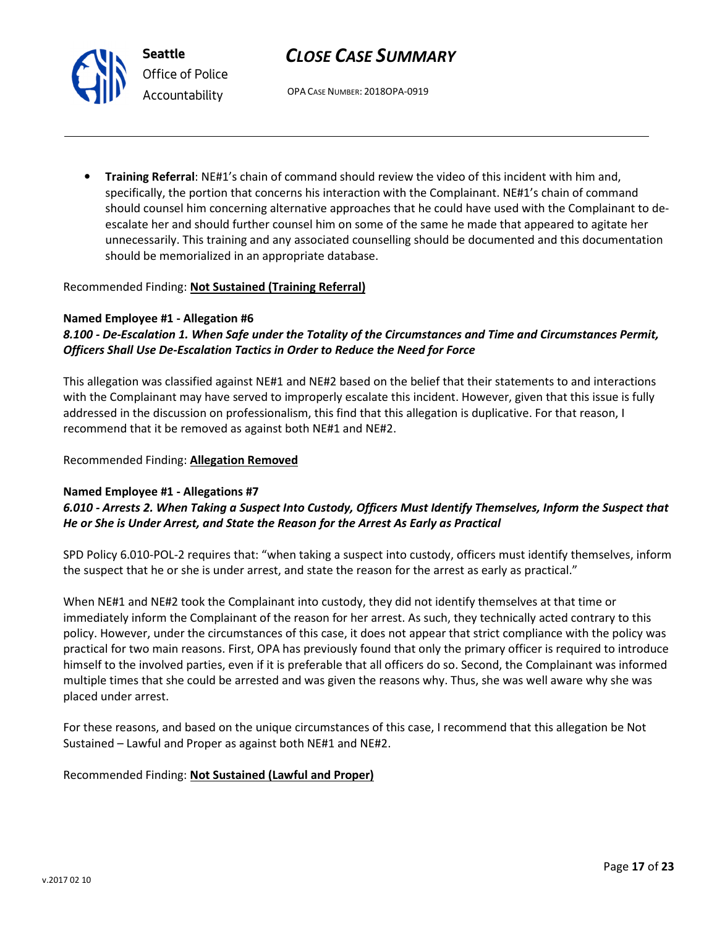OPA CASE NUMBER: 2018OPA-0919

• Training Referral: NE#1's chain of command should review the video of this incident with him and, specifically, the portion that concerns his interaction with the Complainant. NE#1's chain of command should counsel him concerning alternative approaches that he could have used with the Complainant to deescalate her and should further counsel him on some of the same he made that appeared to agitate her unnecessarily. This training and any associated counselling should be documented and this documentation should be memorialized in an appropriate database.

#### Recommended Finding: Not Sustained (Training Referral)

#### Named Employee #1 - Allegation #6

Seattle

Office of Police Accountability

### 8.100 - De-Escalation 1. When Safe under the Totality of the Circumstances and Time and Circumstances Permit, Officers Shall Use De-Escalation Tactics in Order to Reduce the Need for Force

This allegation was classified against NE#1 and NE#2 based on the belief that their statements to and interactions with the Complainant may have served to improperly escalate this incident. However, given that this issue is fully addressed in the discussion on professionalism, this find that this allegation is duplicative. For that reason, I recommend that it be removed as against both NE#1 and NE#2.

#### Recommended Finding: Allegation Removed

#### Named Employee #1 - Allegations #7

### 6.010 - Arrests 2. When Taking a Suspect Into Custody, Officers Must Identify Themselves, Inform the Suspect that He or She is Under Arrest, and State the Reason for the Arrest As Early as Practical

SPD Policy 6.010-POL-2 requires that: "when taking a suspect into custody, officers must identify themselves, inform the suspect that he or she is under arrest, and state the reason for the arrest as early as practical."

When NE#1 and NE#2 took the Complainant into custody, they did not identify themselves at that time or immediately inform the Complainant of the reason for her arrest. As such, they technically acted contrary to this policy. However, under the circumstances of this case, it does not appear that strict compliance with the policy was practical for two main reasons. First, OPA has previously found that only the primary officer is required to introduce himself to the involved parties, even if it is preferable that all officers do so. Second, the Complainant was informed multiple times that she could be arrested and was given the reasons why. Thus, she was well aware why she was placed under arrest.

For these reasons, and based on the unique circumstances of this case, I recommend that this allegation be Not Sustained – Lawful and Proper as against both NE#1 and NE#2.

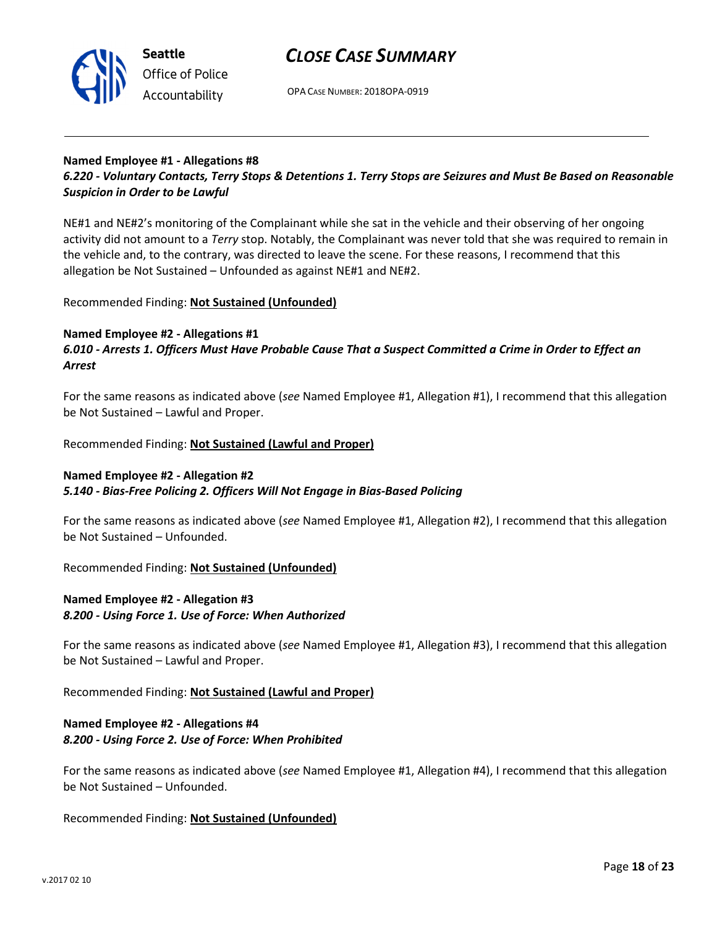

OPA CASE NUMBER: 2018OPA-0919

# Named Employee #1 - Allegations #8

6.220 - Voluntary Contacts, Terry Stops & Detentions 1. Terry Stops are Seizures and Must Be Based on Reasonable Suspicion in Order to be Lawful

NE#1 and NE#2's monitoring of the Complainant while she sat in the vehicle and their observing of her ongoing activity did not amount to a Terry stop. Notably, the Complainant was never told that she was required to remain in the vehicle and, to the contrary, was directed to leave the scene. For these reasons, I recommend that this allegation be Not Sustained – Unfounded as against NE#1 and NE#2.

Recommended Finding: Not Sustained (Unfounded)

#### Named Employee #2 - Allegations #1

6.010 - Arrests 1. Officers Must Have Probable Cause That a Suspect Committed a Crime in Order to Effect an Arrest

For the same reasons as indicated above (see Named Employee #1, Allegation #1), I recommend that this allegation be Not Sustained – Lawful and Proper.

Recommended Finding: Not Sustained (Lawful and Proper)

#### Named Employee #2 - Allegation #2

#### 5.140 - Bias-Free Policing 2. Officers Will Not Engage in Bias-Based Policing

For the same reasons as indicated above (see Named Employee #1, Allegation #2), I recommend that this allegation be Not Sustained – Unfounded.

Recommended Finding: Not Sustained (Unfounded)

### Named Employee #2 - Allegation #3 8.200 - Using Force 1. Use of Force: When Authorized

For the same reasons as indicated above (see Named Employee #1, Allegation #3), I recommend that this allegation be Not Sustained – Lawful and Proper.

Recommended Finding: Not Sustained (Lawful and Proper)

#### Named Employee #2 - Allegations #4 8.200 - Using Force 2. Use of Force: When Prohibited

For the same reasons as indicated above (see Named Employee #1, Allegation #4), I recommend that this allegation be Not Sustained – Unfounded.

Recommended Finding: Not Sustained (Unfounded)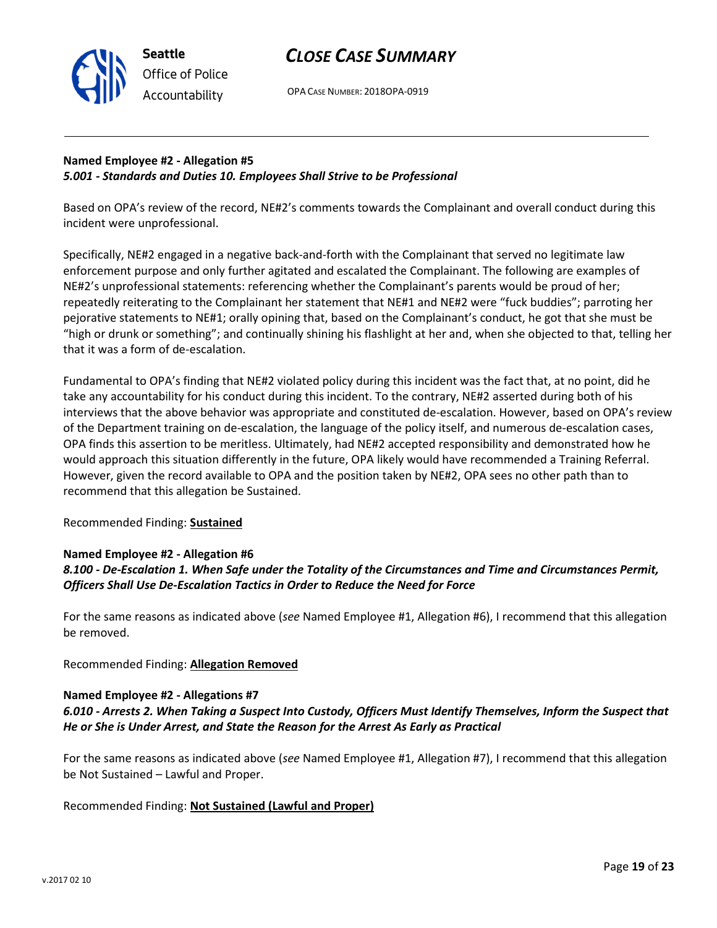

OPA CASE NUMBER: 2018OPA-0919

### Named Employee #2 - Allegation #5 5.001 - Standards and Duties 10. Employees Shall Strive to be Professional

Based on OPA's review of the record, NE#2's comments towards the Complainant and overall conduct during this incident were unprofessional.

Specifically, NE#2 engaged in a negative back-and-forth with the Complainant that served no legitimate law enforcement purpose and only further agitated and escalated the Complainant. The following are examples of NE#2's unprofessional statements: referencing whether the Complainant's parents would be proud of her; repeatedly reiterating to the Complainant her statement that NE#1 and NE#2 were "fuck buddies"; parroting her pejorative statements to NE#1; orally opining that, based on the Complainant's conduct, he got that she must be "high or drunk or something"; and continually shining his flashlight at her and, when she objected to that, telling her that it was a form of de-escalation.

Fundamental to OPA's finding that NE#2 violated policy during this incident was the fact that, at no point, did he take any accountability for his conduct during this incident. To the contrary, NE#2 asserted during both of his interviews that the above behavior was appropriate and constituted de-escalation. However, based on OPA's review of the Department training on de-escalation, the language of the policy itself, and numerous de-escalation cases, OPA finds this assertion to be meritless. Ultimately, had NE#2 accepted responsibility and demonstrated how he would approach this situation differently in the future, OPA likely would have recommended a Training Referral. However, given the record available to OPA and the position taken by NE#2, OPA sees no other path than to recommend that this allegation be Sustained.

### Recommended Finding: Sustained

#### Named Employee #2 - Allegation #6

### 8.100 - De-Escalation 1. When Safe under the Totality of the Circumstances and Time and Circumstances Permit, Officers Shall Use De-Escalation Tactics in Order to Reduce the Need for Force

For the same reasons as indicated above (see Named Employee #1, Allegation #6), I recommend that this allegation be removed.

Recommended Finding: Allegation Removed

#### Named Employee #2 - Allegations #7

# 6.010 - Arrests 2. When Taking a Suspect Into Custody, Officers Must Identify Themselves, Inform the Suspect that He or She is Under Arrest, and State the Reason for the Arrest As Early as Practical

For the same reasons as indicated above (see Named Employee #1, Allegation #7), I recommend that this allegation be Not Sustained – Lawful and Proper.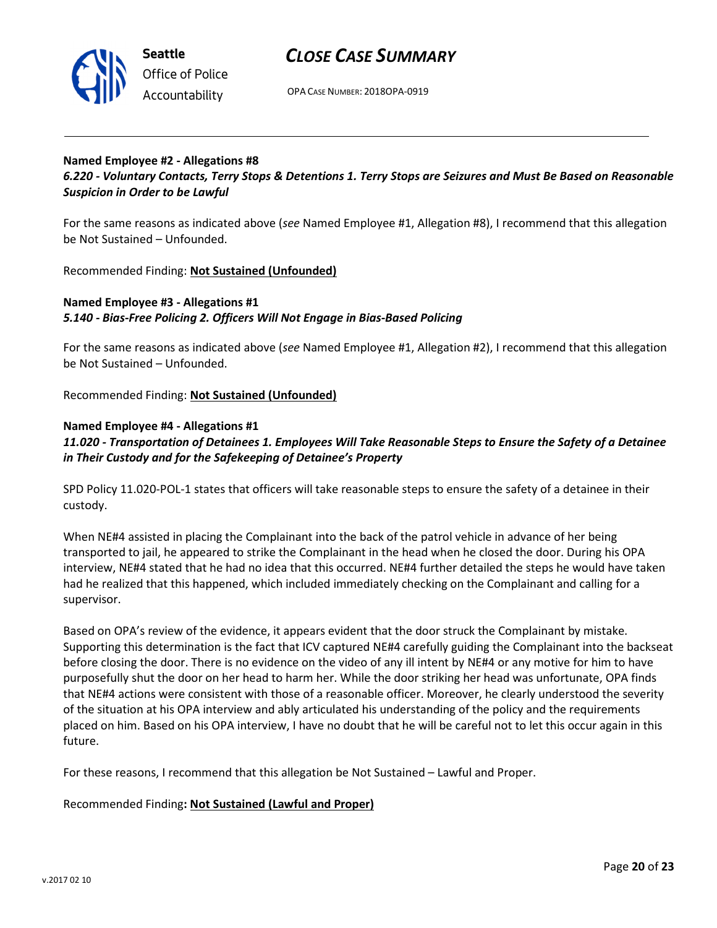

Seattle Office of Police Accountability

# CLOSE CASE SUMMARY

OPA CASE NUMBER: 2018OPA-0919

#### Named Employee #2 - Allegations #8 6.220 - Voluntary Contacts, Terry Stops & Detentions 1. Terry Stops are Seizures and Must Be Based on Reasonable Suspicion in Order to be Lawful

For the same reasons as indicated above (see Named Employee #1, Allegation #8), I recommend that this allegation be Not Sustained – Unfounded.

Recommended Finding: Not Sustained (Unfounded)

### Named Employee #3 - Allegations #1 5.140 - Bias-Free Policing 2. Officers Will Not Engage in Bias-Based Policing

For the same reasons as indicated above (see Named Employee #1, Allegation #2), I recommend that this allegation be Not Sustained – Unfounded.

Recommended Finding: Not Sustained (Unfounded)

### Named Employee #4 - Allegations #1

# 11.020 - Transportation of Detainees 1. Employees Will Take Reasonable Steps to Ensure the Safety of a Detainee in Their Custody and for the Safekeeping of Detainee's Property

SPD Policy 11.020-POL-1 states that officers will take reasonable steps to ensure the safety of a detainee in their custody.

When NE#4 assisted in placing the Complainant into the back of the patrol vehicle in advance of her being transported to jail, he appeared to strike the Complainant in the head when he closed the door. During his OPA interview, NE#4 stated that he had no idea that this occurred. NE#4 further detailed the steps he would have taken had he realized that this happened, which included immediately checking on the Complainant and calling for a supervisor.

Based on OPA's review of the evidence, it appears evident that the door struck the Complainant by mistake. Supporting this determination is the fact that ICV captured NE#4 carefully guiding the Complainant into the backseat before closing the door. There is no evidence on the video of any ill intent by NE#4 or any motive for him to have purposefully shut the door on her head to harm her. While the door striking her head was unfortunate, OPA finds that NE#4 actions were consistent with those of a reasonable officer. Moreover, he clearly understood the severity of the situation at his OPA interview and ably articulated his understanding of the policy and the requirements placed on him. Based on his OPA interview, I have no doubt that he will be careful not to let this occur again in this future.

For these reasons, I recommend that this allegation be Not Sustained – Lawful and Proper.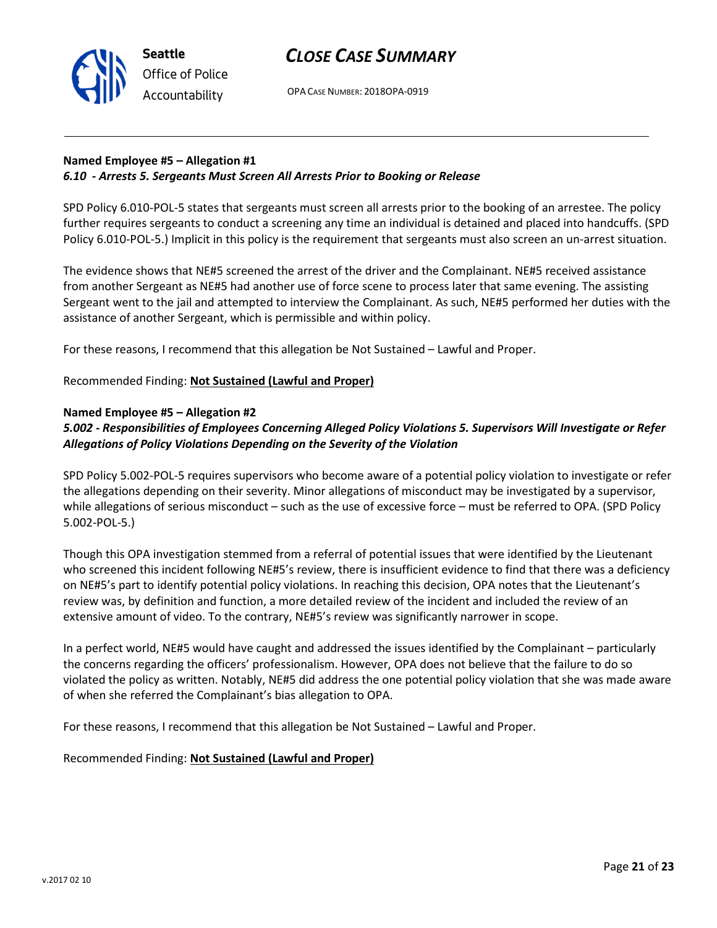

# Named Employee #5 – Allegation #1 6.10 - Arrests 5. Sergeants Must Screen All Arrests Prior to Booking or Release

SPD Policy 6.010-POL-5 states that sergeants must screen all arrests prior to the booking of an arrestee. The policy further requires sergeants to conduct a screening any time an individual is detained and placed into handcuffs. (SPD Policy 6.010-POL-5.) Implicit in this policy is the requirement that sergeants must also screen an un-arrest situation.

The evidence shows that NE#5 screened the arrest of the driver and the Complainant. NE#5 received assistance from another Sergeant as NE#5 had another use of force scene to process later that same evening. The assisting Sergeant went to the jail and attempted to interview the Complainant. As such, NE#5 performed her duties with the assistance of another Sergeant, which is permissible and within policy.

For these reasons, I recommend that this allegation be Not Sustained – Lawful and Proper.

# Recommended Finding: Not Sustained (Lawful and Proper)

# Named Employee #5 – Allegation #2

# 5.002 - Responsibilities of Employees Concerning Alleged Policy Violations 5. Supervisors Will Investigate or Refer Allegations of Policy Violations Depending on the Severity of the Violation

SPD Policy 5.002-POL-5 requires supervisors who become aware of a potential policy violation to investigate or refer the allegations depending on their severity. Minor allegations of misconduct may be investigated by a supervisor, while allegations of serious misconduct - such as the use of excessive force - must be referred to OPA. (SPD Policy 5.002-POL-5.)

Though this OPA investigation stemmed from a referral of potential issues that were identified by the Lieutenant who screened this incident following NE#5's review, there is insufficient evidence to find that there was a deficiency on NE#5's part to identify potential policy violations. In reaching this decision, OPA notes that the Lieutenant's review was, by definition and function, a more detailed review of the incident and included the review of an extensive amount of video. To the contrary, NE#5's review was significantly narrower in scope.

In a perfect world, NE#5 would have caught and addressed the issues identified by the Complainant – particularly the concerns regarding the officers' professionalism. However, OPA does not believe that the failure to do so violated the policy as written. Notably, NE#5 did address the one potential policy violation that she was made aware of when she referred the Complainant's bias allegation to OPA.

For these reasons, I recommend that this allegation be Not Sustained – Lawful and Proper.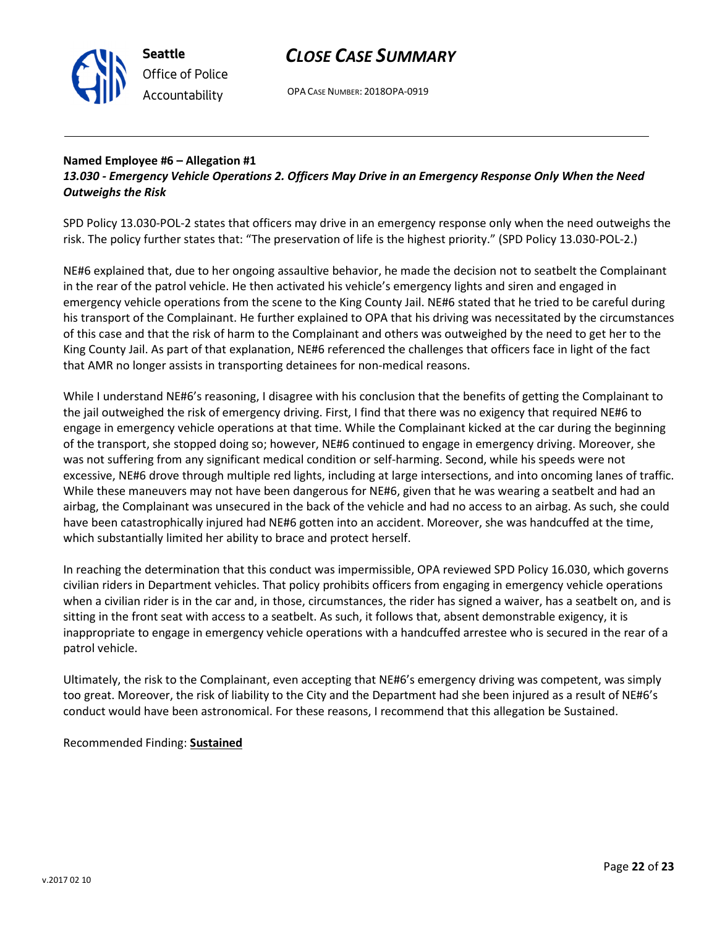

OPA CASE NUMBER: 2018OPA-0919

#### Named Employee #6 – Allegation #1 13.030 - Emergency Vehicle Operations 2. Officers May Drive in an Emergency Response Only When the Need Outweighs the Risk

SPD Policy 13.030-POL-2 states that officers may drive in an emergency response only when the need outweighs the risk. The policy further states that: "The preservation of life is the highest priority." (SPD Policy 13.030-POL-2.)

NE#6 explained that, due to her ongoing assaultive behavior, he made the decision not to seatbelt the Complainant in the rear of the patrol vehicle. He then activated his vehicle's emergency lights and siren and engaged in emergency vehicle operations from the scene to the King County Jail. NE#6 stated that he tried to be careful during his transport of the Complainant. He further explained to OPA that his driving was necessitated by the circumstances of this case and that the risk of harm to the Complainant and others was outweighed by the need to get her to the King County Jail. As part of that explanation, NE#6 referenced the challenges that officers face in light of the fact that AMR no longer assists in transporting detainees for non-medical reasons.

While I understand NE#6's reasoning, I disagree with his conclusion that the benefits of getting the Complainant to the jail outweighed the risk of emergency driving. First, I find that there was no exigency that required NE#6 to engage in emergency vehicle operations at that time. While the Complainant kicked at the car during the beginning of the transport, she stopped doing so; however, NE#6 continued to engage in emergency driving. Moreover, she was not suffering from any significant medical condition or self-harming. Second, while his speeds were not excessive, NE#6 drove through multiple red lights, including at large intersections, and into oncoming lanes of traffic. While these maneuvers may not have been dangerous for NE#6, given that he was wearing a seatbelt and had an airbag, the Complainant was unsecured in the back of the vehicle and had no access to an airbag. As such, she could have been catastrophically injured had NE#6 gotten into an accident. Moreover, she was handcuffed at the time, which substantially limited her ability to brace and protect herself.

In reaching the determination that this conduct was impermissible, OPA reviewed SPD Policy 16.030, which governs civilian riders in Department vehicles. That policy prohibits officers from engaging in emergency vehicle operations when a civilian rider is in the car and, in those, circumstances, the rider has signed a waiver, has a seatbelt on, and is sitting in the front seat with access to a seatbelt. As such, it follows that, absent demonstrable exigency, it is inappropriate to engage in emergency vehicle operations with a handcuffed arrestee who is secured in the rear of a patrol vehicle.

Ultimately, the risk to the Complainant, even accepting that NE#6's emergency driving was competent, was simply too great. Moreover, the risk of liability to the City and the Department had she been injured as a result of NE#6's conduct would have been astronomical. For these reasons, I recommend that this allegation be Sustained.

#### Recommended Finding: Sustained